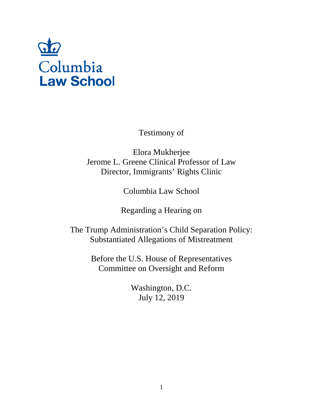

Testimony of

Elora Mukherjee Jerome L. Greene Clinical Professor of Law Director, Immigrants' Rights Clinic

Columbia Law School

Regarding a Hearing on

The Trump Administration's Child Separation Policy: Substantiated Allegations of Mistreatment

> Before the U.S. House of Representatives Committee on Oversight and Reform

> > Washington, D.C. July 12, 2019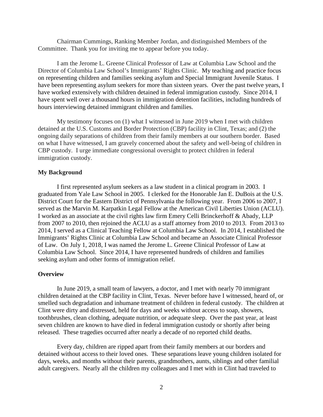Chairman Cummings, Ranking Member Jordan, and distinguished Members of the Committee. Thank you for inviting me to appear before you today.

I am the Jerome L. Greene Clinical Professor of Law at Columbia Law School and the Director of Columbia Law School's Immigrants' Rights Clinic. My teaching and practice focus on representing children and families seeking asylum and Special Immigrant Juvenile Status. I have been representing asylum seekers for more than sixteen years. Over the past twelve years, I have worked extensively with children detained in federal immigration custody. Since 2014, I have spent well over a thousand hours in immigration detention facilities, including hundreds of hours interviewing detained immigrant children and families.

My testimony focuses on (1) what I witnessed in June 2019 when I met with children detained at the U.S. Customs and Border Protection (CBP) facility in Clint, Texas; and (2) the ongoing daily separations of children from their family members at our southern border. Based on what I have witnessed, I am gravely concerned about the safety and well-being of children in CBP custody. I urge immediate congressional oversight to protect children in federal immigration custody.

### **My Background**

I first represented asylum seekers as a law student in a clinical program in 2003. I graduated from Yale Law School in 2005. I clerked for the Honorable Jan E. DuBois at the U.S. District Court for the Eastern District of Pennsylvania the following year. From 2006 to 2007, I served as the Marvin M. Karpatkin Legal Fellow at the American Civil Liberties Union (ACLU). I worked as an associate at the civil rights law firm Emery Celli Brinckerhoff & Abady, LLP from 2007 to 2010, then rejoined the ACLU as a staff attorney from 2010 to 2013. From 2013 to 2014, I served as a Clinical Teaching Fellow at Columbia Law School. In 2014, I established the Immigrants' Rights Clinic at Columbia Law School and became an Associate Clinical Professor of Law. On July 1, 2018, I was named the Jerome L. Greene Clinical Professor of Law at Columbia Law School. Since 2014, I have represented hundreds of children and families seeking asylum and other forms of immigration relief.

#### **Overview**

In June 2019, a small team of lawyers, a doctor, and I met with nearly 70 immigrant children detained at the CBP facility in Clint, Texas. Never before have I witnessed, heard of, or smelled such degradation and inhumane treatment of children in federal custody. The children at Clint were dirty and distressed, held for days and weeks without access to soap, showers, toothbrushes, clean clothing, adequate nutrition, or adequate sleep. Over the past year, at least seven children are known to have died in federal immigration custody or shortly after being released. These tragedies occurred after nearly a decade of no reported child deaths.

Every day, children are ripped apart from their family members at our borders and detained without access to their loved ones. These separations leave young children isolated for days, weeks, and months without their parents, grandmothers, aunts, siblings and other familial adult caregivers. Nearly all the children my colleagues and I met with in Clint had traveled to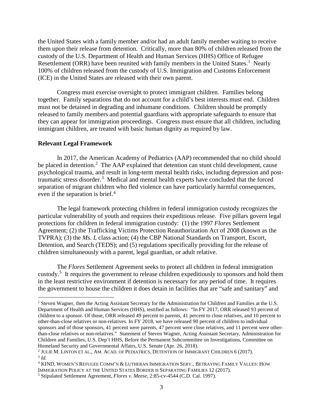the United States with a family member and/or had an adult family member waiting to receive them upon their release from detention. Critically, more than 80% of children released from the custody of the U.S. Department of Health and Human Services (HHS) Office of Refugee Resettlement (ORR) have been reunited with family members in the United States.<sup>[1](#page-2-0)</sup> Nearly 100% of children released from the custody of U.S. Immigration and Customs Enforcement (ICE) in the United States are released with their own parent.

Congress must exercise oversight to protect immigrant children. Families belong together. Family separations that do not account for a child's best interests must end. Children must not be detained in degrading and inhumane conditions. Children should be promptly released to family members and potential guardians with appropriate safeguards to ensure that they can appear for immigration proceedings. Congress must ensure that all children, including immigrant children, are treated with basic human dignity as required by law.

#### **Relevant Legal Framework**

In 2017, the American Academy of Pediatrics (AAP) recommended that no child should be placed in detention.<sup>[2](#page-2-1)</sup> The AAP explained that detention can stunt child development, cause psychological trauma, and result in long-term mental health risks, including depression and post-traumatic stress disorder.<sup>[3](#page-2-2)</sup> Medical and mental health experts have concluded that the forced separation of migrant children who fled violence can have particularly harmful consequences, even if the separation is brief.<sup>[4](#page-2-3)</sup>

The legal framework protecting children in federal immigration custody recognizes the particular vulnerability of youth and requires their expeditious release. Five pillars govern legal protections for children in federal immigration custody: (1) the 1997 *Flores* Settlement Agreement; (2) the Trafficking Victims Protection Reauthorization Act of 2008 (known as the TVPRA); (3) the *Ms. L* class action; (4) the CBP National Standards on Transport, Escort, Detention, and Search (TEDS); and (5) regulations specifically providing for the release of children simultaneously with a parent, legal guardian, or adult relative.

The *Flores* Settlement Agreement seeks to protect all children in federal immigration custody.<sup>[5](#page-2-4)</sup> It requires the government to release children expeditiously to sponsors and hold them in the least restrictive environment if detention is necessary for any period of time. It requires the government to house the children it does detain in facilities that are "safe and sanitary" and

<span id="page-2-0"></span><sup>&</sup>lt;sup>1</sup> Steven Wagner, then the Acting Assistant Secretary for the Administration for Children and Families at the U.S. Department of Health and Human Services (HHS), testified as follows: "In FY 2017, ORR released 93 percent of children to a sponsor. Of those, ORR released 49 percent to parents, 41 percent to close relatives, and 10 percent to other-than-close relatives or non-relatives. In FY 2018, we have released 90 percent of children to individual sponsors and of those sponsors, 41 percent were parents, 47 percent were close relatives, and 11 percent were otherthan-close relatives or non-relatives." Statement of Steven Wagner, Acting Assistant Secretary, Administration for Children and Families, U.S. Dep't HHS, Before the Permanent Subcommittee on Investigations, Committee on Homeland Security and Governmental Affairs, U.S. Senate (Apr. 26, 2018).

<span id="page-2-1"></span><sup>2</sup> JULIE M. LINTON ET AL., AM. ACAD. OF PEDIATRICS, DETENTION OF IMMIGRANT CHILDREN 6 (2017). <sup>3</sup> *Id.*

<span id="page-2-3"></span><span id="page-2-2"></span><sup>4</sup> KIND, WOMEN'S REFUGEE COMM'N & LUTHERAN IMMIGRATION SERV., BETRAYING FAMILY VALUES: HOW IMMIGRATION POLICY AT THE UNITED STATES BORDER IS SEPARATING FAMILIES 12 (2017).

<span id="page-2-4"></span><sup>5</sup> Stipulated Settlement Agreement, *Flores v. Meese*, 2:85-cv-4544 (C.D. Cal. 1997).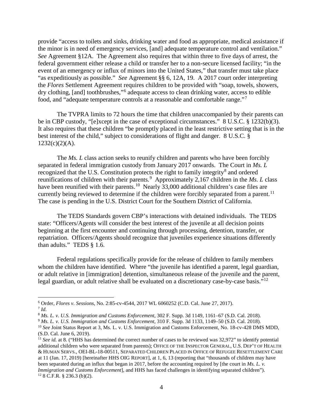provide "access to toilets and sinks, drinking water and food as appropriate, medical assistance if the minor is in need of emergency services, [and] adequate temperature control and ventilation." *See* Agreement §12A. The Agreement also requires that within three to five days of arrest, the federal government either release a child or transfer her to a non-secure licensed facility; "in the event of an emergency or influx of minors into the United States," that transfer must take place "as expeditiously as possible." *See* Agreement §§ 6, 12A, 19. A 2017 court order interpreting the *Flores* Settlement Agreement requires children to be provided with "soap, towels, showers, dry clothing, [and] toothbrushes,"[6](#page-3-0) adequate access to clean drinking water, access to edible food, and "adequate temperature controls at a reasonable and comfortable range."[7](#page-3-1)

The TVPRA limits to 72 hours the time that children unaccompanied by their parents can be in CBP custody, "[e]xcept in the case of exceptional circumstances." 8 U.S.C. § 1232(b)(3). It also requires that these children "be promptly placed in the least restrictive setting that is in the best interest of the child," subject to considerations of flight and danger. 8 U.S.C. §  $1232(c)(2)(A)$ .

The *Ms. L* class action seeks to reunify children and parents who have been forcibly separated in federal immigration custody from January 2017 onwards. The Court in *Ms. L* recognized that the U.S. Constitution protects the right to family integrity<sup>[8](#page-3-2)</sup> and ordered reunifications of children with their parents.<sup>[9](#page-3-3)</sup> Approximately 2,167 children in the *Ms. L* class have been reunified with their parents.<sup>[10](#page-3-4)</sup> Nearly 33,000 additional children's case files are currently being reviewed to determine if the children were forcibly separated from a parent.<sup>11</sup> The case is pending in the U.S. District Court for the Southern District of California.

The TEDS Standards govern CBP's interactions with detained individuals. The TEDS state: "Officers/Agents will consider the best interest of the juvenile at all decision points beginning at the first encounter and continuing through processing, detention, transfer, or repatriation. Officers/Agents should recognize that juveniles experience situations differently than adults." TEDS § 1.6.

Federal regulations specifically provide for the release of children to family members whom the children have identified. Where "the juvenile has identified a parent, legal guardian, or adult relative in [immigration] detention, simultaneous release of the juvenile and the parent, legal guardian, or adult relative shall be evaluated on a discretionary case-by-case basis."<sup>[12](#page-3-6)</sup>

<span id="page-3-1"></span><span id="page-3-0"></span><sup>6</sup> Order, *Flores v. Sessions*, No. 2:85-cv-4544, 2017 WL 6060252 (C.D. Cal. June 27, 2017). 7 *Id.*

<span id="page-3-2"></span><sup>8</sup> *Ms. L. v. U.S. Immigration and Customs Enforcement*, 302 F. Supp. 3d 1149, 1161–67 (S.D. Cal. 2018).

<span id="page-3-3"></span><sup>9</sup> *Ms. L. v. U.S. Immigration and Customs Enforcement*, 310 F. Supp. 3d 1133, 1149–50 (S.D. Cal. 2018).

<span id="page-3-4"></span><sup>&</sup>lt;sup>10</sup> See Joint Status Report at 3, Ms. L. v. U.S. Immigration and Customs Enforcement, No. 18-cv-428 DMS MDD, (S.D. Cal. June 6, 2019).

<span id="page-3-6"></span><span id="page-3-5"></span><sup>&</sup>lt;sup>11</sup> *See id.* at 8. ("HHS has determined the correct number of cases to be reviewed was 32,972" to identify potential additional children who were separated from parents); OFFICE OF THE INSPECTOR GENERAL, U.S. DEP'T OF HEALTH & HUMAN SERVS., OEI-BL-18-00511, SEPARATED CHILDREN PLACED IN OFFICE OF REFUGEE RESETTLEMENT CARE at 11 (Jan. 17, 2019) [hereinafter HHS OIG REPORT], at 1, 6, 13 (reporting that "thousands of children may have been separated during an influx that began in 2017, before the accounting required by [the court in *Ms. L. v. Immigration and Customs Enforcement*], and HHS has faced challenges in identifying separated children").  $12$  8 C.F.R. § 236.3 (b)(2).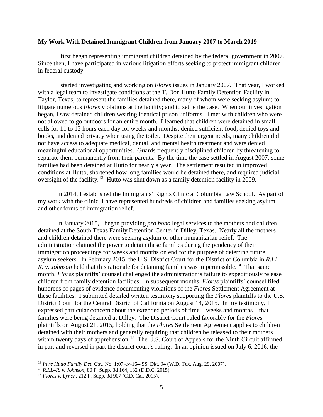#### **My Work With Detained Immigrant Children from January 2007 to March 2019**

I first began representing immigrant children detained by the federal government in 2007. Since then, I have participated in various litigation efforts seeking to protect immigrant children in federal custody.

I started investigating and working on *Flores* issues in January 2007. That year, I worked with a legal team to investigate conditions at the T. Don Hutto Family Detention Facility in Taylor, Texas; to represent the families detained there, many of whom were seeking asylum; to litigate numerous *Flores* violations at the facility; and to settle the case. When our investigation began, I saw detained children wearing identical prison uniforms. I met with children who were not allowed to go outdoors for an entire month. I learned that children were detained in small cells for 11 to 12 hours each day for weeks and months, denied sufficient food, denied toys and books, and denied privacy when using the toilet. Despite their urgent needs, many children did not have access to adequate medical, dental, and mental health treatment and were denied meaningful educational opportunities. Guards frequently disciplined children by threatening to separate them permanently from their parents. By the time the case settled in August 2007, some families had been detained at Hutto for nearly a year. The settlement resulted in improved conditions at Hutto, shortened how long families would be detained there, and required judicial oversight of the facility.<sup>13</sup> Hutto was shut down as a family detention facility in 2009.

In 2014, I established the Immigrants' Rights Clinic at Columbia Law School. As part of my work with the clinic, I have represented hundreds of children and families seeking asylum and other forms of immigration relief.

In January 2015, I began providing *pro bono* legal services to the mothers and children detained at the South Texas Family Detention Center in Dilley, Texas. Nearly all the mothers and children detained there were seeking asylum or other humanitarian relief. The administration claimed the power to detain these families during the pendency of their immigration proceedings for weeks and months on end for the purpose of deterring future asylum seekers. In February 2015, the U.S. District Court for the District of Columbia in *R.I.L– R. v. Johnson* held that this rationale for detaining families was impermissible.<sup>[14](#page-4-1)</sup> That same month, *Flores* plaintiffs' counsel challenged the administration's failure to expeditiously release children from family detention facilities. In subsequent months, *Flores* plaintiffs' counsel filed hundreds of pages of evidence documenting violations of the *Flores* Settlement Agreement at these facilities. I submitted detailed written testimony supporting the *Flores* plaintiffs to the U.S. District Court for the Central District of California on August 14, 2015. In my testimony, I expressed particular concern about the extended periods of time—weeks and months—that families were being detained at Dilley. The District Court ruled favorably for the *Flores*  plaintiffs on August 21, 2015, holding that the *Flores* Settlement Agreement applies to children detained with their mothers and generally requiring that children be released to their mothers within twenty days of apprehension.<sup>[15](#page-4-2)</sup> The U.S. Court of Appeals for the Ninth Circuit affirmed in part and reversed in part the district court's ruling. In an opinion issued on July 6, 2016, the

<span id="page-4-0"></span><sup>&</sup>lt;sup>13</sup> *In re Hutto Family Det. Ctr.*, No. 1:07-cv-164-SS, Dkt. 94 (W.D. Tex. Aug. 29, 2007).<br><sup>14</sup> R.I.L–R. *v. Johnson*, 80 F. Supp. 3d 164, 182 (D.D.C. 2015).

<span id="page-4-1"></span>

<span id="page-4-2"></span><sup>&</sup>lt;sup>15</sup> *Flores v. Lynch*, 212 F. Supp. 3d 907 (C.D. Cal. 2015).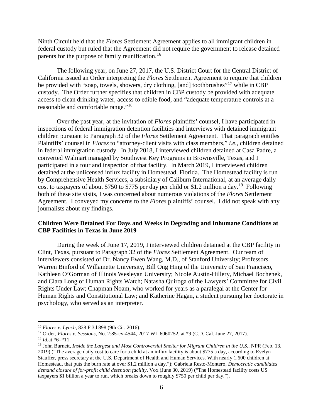Ninth Circuit held that the *Flores* Settlement Agreement applies to all immigrant children in federal custody but ruled that the Agreement did not require the government to release detained parents for the purpose of family reunification.<sup>16</sup>

The following year, on June 27, 2017, the U.S. District Court for the Central District of California issued an Order interpreting the *Flores* Settlement Agreement to require that children be provided with "soap, towels, showers, dry clothing, [and] toothbrushes"<sup>[17](#page-5-1)</sup> while in CBP custody. The Order further specifies that children in CBP custody be provided with adequate access to clean drinking water, access to edible food, and "adequate temperature controls at a reasonable and comfortable range."[18](#page-5-2)

Over the past year, at the invitation of *Flores* plaintiffs' counsel, I have participated in inspections of federal immigration detention facilities and interviews with detained immigrant children pursuant to Paragraph 32 of the *Flores* Settlement Agreement. That paragraph entitles Plaintiffs' counsel in *Flores* to "attorney-client visits with class members," *i.e.*, children detained in federal immigration custody. In July 2018, I interviewed children detained at Casa Padre, a converted Walmart managed by Southwest Key Programs in Brownsville, Texas, and I participated in a tour and inspection of that facility. In March 2019, I interviewed children detained at the unlicensed influx facility in Homestead, Florida. The Homestead facility is run by Comprehensive Health Services, a subsidiary of Caliburn International, at an average daily cost to taxpayers of about \$750 to \$775 per day per child or \$1.2 million a day.<sup>19</sup> Following both of these site visits, I was concerned about numerous violations of the *Flores* Settlement Agreement. I conveyed my concerns to the *Flores* plaintiffs' counsel. I did not speak with any journalists about my findings.

## **Children Were Detained For Days and Weeks in Degrading and Inhumane Conditions at CBP Facilities in Texas in June 2019**

During the week of June 17, 2019, I interviewed children detained at the CBP facility in Clint, Texas, pursuant to Paragraph 32 of the *Flores* Settlement Agreement. Our team of interviewers consisted of Dr. Nancy Ewen Wang, M.D., of Stanford University; Professors Warren Binford of Willamette University, Bill Ong Hing of the University of San Francisco, Kathleen O'Gorman of Illinois Wesleyan University; Nicole Austin-Hillery, Michael Bochenek, and Clara Long of Human Rights Watch; Natasha Quiroga of the Lawyers' Committee for Civil Rights Under Law; Chapman Noam, who worked for years as a paralegal at the Center for Human Rights and Constitutional Law; and Katherine Hagan, a student pursuing her doctorate in psychology, who served as an interpreter.

<span id="page-5-0"></span> <sup>16</sup> *Flores v. Lynch*, 828 F.3d 898 (9th Cir. 2016).

<span id="page-5-1"></span><sup>17</sup> Order, *Flores v. Sessions*, No. 2:85-cv-4544, 2017 WL 6060252, at \*9 (C.D. Cal. June 27, 2017). 18 *Id.*at \*6–\*11.

<span id="page-5-3"></span><span id="page-5-2"></span><sup>19</sup> John Burnett, *Inside the Largest and Most Controversial Shelter for Migrant Children in the U.S.*, NPR (Feb. 13, 2019) ("The average daily cost to care for a child at an influx facility is about \$775 a day, according to Evelyn Stauffer, press secretary at the U.S. Department of Health and Human Services. With nearly 1,600 children at Homestead, that puts the burn rate at over \$1.2 million a day."); Gabriela Resto-Montero, *Democratic candidates demand closure of for-profit child detention facility*, Vox (June 30, 2019) ("The Homestead facility costs US taxpayers \$1 billion a year to run, which breaks down to roughly \$750 per child per day.").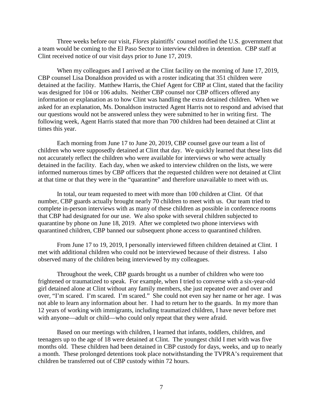Three weeks before our visit, *Flores* plaintiffs' counsel notified the U.S. government that a team would be coming to the El Paso Sector to interview children in detention. CBP staff at Clint received notice of our visit days prior to June 17, 2019.

When my colleagues and I arrived at the Clint facility on the morning of June 17, 2019, CBP counsel Lisa Donaldson provided us with a roster indicating that 351 children were detained at the facility. Matthew Harris, the Chief Agent for CBP at Clint, stated that the facility was designed for 104 or 106 adults. Neither CBP counsel nor CBP officers offered any information or explanation as to how Clint was handling the extra detained children. When we asked for an explanation, Ms. Donaldson instructed Agent Harris not to respond and advised that our questions would not be answered unless they were submitted to her in writing first. The following week, Agent Harris stated that more than 700 children had been detained at Clint at times this year.

Each morning from June 17 to June 20, 2019, CBP counsel gave our team a list of children who were supposedly detained at Clint that day. We quickly learned that these lists did not accurately reflect the children who were available for interviews or who were actually detained in the facility. Each day, when we asked to interview children on the lists, we were informed numerous times by CBP officers that the requested children were not detained at Clint at that time or that they were in the "quarantine" and therefore unavailable to meet with us.

In total, our team requested to meet with more than 100 children at Clint. Of that number, CBP guards actually brought nearly 70 children to meet with us. Our team tried to complete in-person interviews with as many of these children as possible in conference rooms that CBP had designated for our use. We also spoke with several children subjected to quarantine by phone on June 18, 2019. After we completed two phone interviews with quarantined children, CBP banned our subsequent phone access to quarantined children.

From June 17 to 19, 2019, I personally interviewed fifteen children detained at Clint. I met with additional children who could not be interviewed because of their distress. I also observed many of the children being interviewed by my colleagues.

Throughout the week, CBP guards brought us a number of children who were too frightened or traumatized to speak. For example, when I tried to converse with a six-year-old girl detained alone at Clint without any family members, she just repeated over and over and over, "I'm scared. I'm scared. I'm scared." She could not even say her name or her age. I was not able to learn any information about her. I had to return her to the guards. In my more than 12 years of working with immigrants, including traumatized children, I have never before met with anyone—adult or child—who could only repeat that they were afraid.

Based on our meetings with children, I learned that infants, toddlers, children, and teenagers up to the age of 18 were detained at Clint. The youngest child I met with was five months old. These children had been detained in CBP custody for days, weeks, and up to nearly a month. These prolonged detentions took place notwithstanding the TVPRA's requirement that children be transferred out of CBP custody within 72 hours.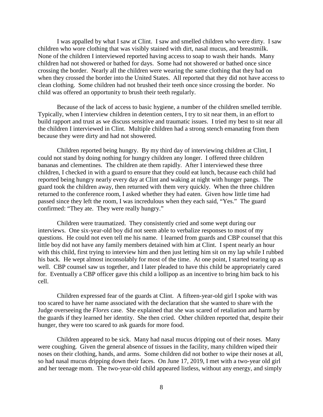I was appalled by what I saw at Clint. I saw and smelled children who were dirty. I saw children who wore clothing that was visibly stained with dirt, nasal mucus, and breastmilk. None of the children I interviewed reported having access to soap to wash their hands. Many children had not showered or bathed for days. Some had not showered or bathed once since crossing the border. Nearly all the children were wearing the same clothing that they had on when they crossed the border into the United States. All reported that they did not have access to clean clothing. Some children had not brushed their teeth once since crossing the border. No child was offered an opportunity to brush their teeth regularly.

Because of the lack of access to basic hygiene, a number of the children smelled terrible. Typically, when I interview children in detention centers, I try to sit near them, in an effort to build rapport and trust as we discuss sensitive and traumatic issues. I tried my best to sit near all the children I interviewed in Clint. Multiple children had a strong stench emanating from them because they were dirty and had not showered.

Children reported being hungry. By my third day of interviewing children at Clint, I could not stand by doing nothing for hungry children any longer. I offered three children bananas and clementines. The children ate them rapidly. After I interviewed these three children, I checked in with a guard to ensure that they could eat lunch, because each child had reported being hungry nearly every day at Clint and waking at night with hunger pangs. The guard took the children away, then returned with them very quickly. When the three children returned to the conference room, I asked whether they had eaten. Given how little time had passed since they left the room, I was incredulous when they each said, "Yes." The guard confirmed: "They ate. They were really hungry."

Children were traumatized. They consistently cried and some wept during our interviews. One six-year-old boy did not seem able to verbalize responses to most of my questions. He could not even tell me his name. I learned from guards and CBP counsel that this little boy did not have any family members detained with him at Clint. I spent nearly an hour with this child, first trying to interview him and then just letting him sit on my lap while I rubbed his back. He wept almost inconsolably for most of the time. At one point, I started tearing up as well. CBP counsel saw us together, and I later pleaded to have this child be appropriately cared for. Eventually a CBP officer gave this child a lollipop as an incentive to bring him back to his cell.

Children expressed fear of the guards at Clint. A fifteen-year-old girl I spoke with was too scared to have her name associated with the declaration that she wanted to share with the Judge overseeing the *Flores* case. She explained that she was scared of retaliation and harm by the guards if they learned her identity. She then cried. Other children reported that, despite their hunger, they were too scared to ask guards for more food.

Children appeared to be sick. Many had nasal mucus dripping out of their noses. Many were coughing. Given the general absence of tissues in the facility, many children wiped their noses on their clothing, hands, and arms. Some children did not bother to wipe their noses at all, so had nasal mucus dripping down their faces. On June 17, 2019, I met with a two-year old girl and her teenage mom. The two-year-old child appeared listless, without any energy, and simply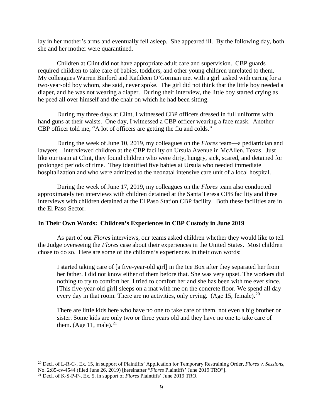lay in her mother's arms and eventually fell asleep. She appeared ill. By the following day, both she and her mother were quarantined.

Children at Clint did not have appropriate adult care and supervision. CBP guards required children to take care of babies, toddlers, and other young children unrelated to them. My colleagues Warren Binford and Kathleen O'Gorman met with a girl tasked with caring for a two-year-old boy whom, she said, never spoke. The girl did not think that the little boy needed a diaper, and he was not wearing a diaper. During their interview, the little boy started crying as he peed all over himself and the chair on which he had been sitting.

During my three days at Clint, I witnessed CBP officers dressed in full uniforms with hand guns at their waists. One day, I witnessed a CBP officer wearing a face mask. Another CBP officer told me, "A lot of officers are getting the flu and colds."

During the week of June 10, 2019, my colleagues on the *Flores* team—a pediatrician and lawyers—interviewed children at the CBP facility on Ursula Avenue in McAllen, Texas. Just like our team at Clint, they found children who were dirty, hungry, sick, scared, and detained for prolonged periods of time. They identified five babies at Ursula who needed immediate hospitalization and who were admitted to the neonatal intensive care unit of a local hospital.

During the week of June 17, 2019, my colleagues on the *Flores* team also conducted approximately ten interviews with children detained at the Santa Teresa CPB facility and three interviews with children detained at the El Paso Station CBP facility. Both these facilities are in the El Paso Sector.

### **In Their Own Words: Children's Experiences in CBP Custody in June 2019**

As part of our *Flores* interviews, our teams asked children whether they would like to tell the Judge overseeing the *Flores* case about their experiences in the United States. Most children chose to do so. Here are some of the children's experiences in their own words:

I started taking care of [a five-year-old girl] in the Ice Box after they separated her from her father. I did not know either of them before that. She was very upset. The workers did nothing to try to comfort her. I tried to comfort her and she has been with me ever since. [This five-year-old girl] sleeps on a mat with me on the concrete floor. We spend all day every day in that room. There are no activities, only crying. (Age 15, female).<sup>[20](#page-8-0)</sup>

There are little kids here who have no one to take care of them, not even a big brother or sister. Some kids are only two or three years old and they have no one to take care of them. (Age  $11$ , male).<sup>[21](#page-8-1)</sup>

<span id="page-8-0"></span> <sup>20</sup> Decl. of L-R-C-, Ex. 15, in support of Plaintiffs' Application for Temporary Restraining Order, *Flores v. Sessions*, No. 2:85-cv-4544 (filed June 26, 2019) [hereinafter "*Flores* Plaintiffs' June 2019 TRO"].<br><sup>21</sup> Decl. of K-S-P-P-, Ex. 5, in support of *Flores* Plaintiffs' June 2019 TRO.

<span id="page-8-1"></span>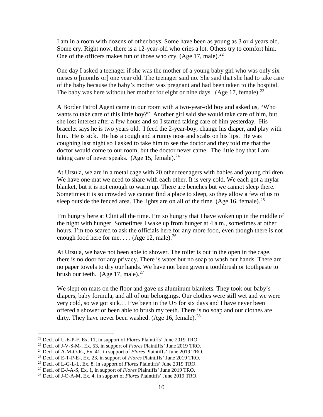I am in a room with dozens of other boys. Some have been as young as 3 or 4 years old. Some cry. Right now, there is a 12-year-old who cries a lot. Others try to comfort him. One of the officers makes fun of those who cry. (Age 17, male).<sup>[22](#page-9-0)</sup>

One day I asked a teenager if she was the mother of a young baby girl who was only six meses o [months or] one year old. The teenager said no. She said that she had to take care of the baby because the baby's mother was pregnant and had been taken to the hospital. The baby was here without her mother for eight or nine days. (Age 17, female).<sup>[23](#page-9-1)</sup>

A Border Patrol Agent came in our room with a two-year-old boy and asked us, "Who wants to take care of this little boy?" Another girl said she would take care of him, but she lost interest after a few hours and so I started taking care of him yesterday. His bracelet says he is two years old. I feed the 2-year-boy, change his diaper, and play with him. He is sick. He has a cough and a runny nose and scabs on his lips. He was coughing last night so I asked to take him to see the doctor and they told me that the doctor would come to our room, but the doctor never came. The little boy that I am taking care of never speaks. (Age 15, female). $^{24}$  $^{24}$  $^{24}$ 

At Ursula, we are in a metal cage with 20 other teenagers with babies and young children. We have one mat we need to share with each other. It is very cold. We each got a mylar blanket, but it is not enough to warm up. There are benches but we cannot sleep there. Sometimes it is so crowded we cannot find a place to sleep, so they allow a few of us to sleep outside the fenced area. The lights are on all of the time. (Age 16, female).<sup>[25](#page-9-3)</sup>

I'm hungry here at Clint all the time. I'm so hungry that I have woken up in the middle of the night with hunger. Sometimes I wake up from hunger at 4 a.m., sometimes at other hours. I'm too scared to ask the officials here for any more food, even though there is not enough food here for me. . . . (Age 12, male).<sup>[26](#page-9-4)</sup>

At Ursula, we have not been able to shower. The toilet is out in the open in the cage, there is no door for any privacy. There is water but no soap to wash our hands. There are no paper towels to dry our hands. We have not been given a toothbrush or toothpaste to brush our teeth. (Age 17, male). $27$ 

We slept on mats on the floor and gave us aluminum blankets. They took our baby's diapers, baby formula, and all of our belongings. Our clothes were still wet and we were very cold, so we got sick… I've been in the US for six days and I have never been offered a shower or been able to brush my teeth. There is no soap and our clothes are dirty. They have never been washed. (Age 16, female).<sup>[28](#page-9-6)</sup>

<span id="page-9-1"></span><span id="page-9-0"></span><sup>&</sup>lt;sup>22</sup> Decl. of U-E-P-F, Ex. 11, in support of *Flores* Plaintiffs' June 2019 TRO.<br><sup>23</sup> Decl. of J-V-S-M-, Ex. 53, in support of *Flores* Plaintiffs' June 2019 TRO.<br><sup>24</sup> Decl. of A-M-O-R-, Ex. 41, in support of *Flores* Pla

<span id="page-9-2"></span>

<span id="page-9-3"></span>

<span id="page-9-4"></span>

<span id="page-9-5"></span>

<span id="page-9-6"></span>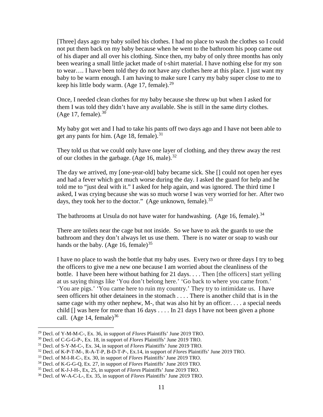[Three] days ago my baby soiled his clothes. I had no place to wash the clothes so I could not put them back on my baby because when he went to the bathroom his poop came out of his diaper and all over his clothing. Since then, my baby of only three months has only been wearing a small little jacket made of t-shirt material. I have nothing else for my son to wear…. I have been told they do not have any clothes here at this place. I just want my baby to be warm enough. I am having to make sure I carry my baby super close to me to keep his little body warm. (Age 17, female). $^{29}$  $^{29}$  $^{29}$ 

Once, I needed clean clothes for my baby because she threw up but when I asked for them I was told they didn't have any available. She is still in the same dirty clothes. (Age 17, female). $30$ 

My baby got wet and I had to take his pants off two days ago and I have not been able to get any pants for him. (Age 18, female).<sup>[31](#page-10-2)</sup>

They told us that we could only have one layer of clothing, and they threw away the rest of our clothes in the garbage. (Age 16, male).  $32$ 

The day we arrived, my [one-year-old] baby became sick. She [] could not open her eyes and had a fever which got much worse during the day. I asked the guard for help and he told me to "just deal with it." I asked for help again, and was ignored. The third time I asked, I was crying because she was so much worse I was very worried for her. After two days, they took her to the doctor." (Age unknown, female).<sup>[33](#page-10-4)</sup>

The bathrooms at Ursula do not have water for handwashing. (Age 16, female).<sup>[34](#page-10-5)</sup>

There are toilets near the cage but not inside. So we have to ask the guards to use the bathroom and they don't always let us use them. There is no water or soap to wash our hands or the baby. (Age 16, female)<sup>[35](#page-10-6)</sup>

I have no place to wash the bottle that my baby uses. Every two or three days I try to beg the officers to give me a new one because I am worried about the cleanliness of the bottle. I have been here without bathing for 21 days. . . . Then [the officers] start yelling at us saying things like 'You don't belong here.' 'Go back to where you came from.' 'You are pigs.' 'You came here to ruin my country.' They try to intimidate us. I have seen officers hit other detainees in the stomach . . . . There is another child that is in the same cage with my other nephew, M-, that was also hit by an officer. . . . a special needs child  $\Box$  was here for more than 16 days . . . . In 21 days I have not been given a phone call. (Age 14, female)<sup>[36](#page-10-7)</sup>

<span id="page-10-1"></span>

<span id="page-10-2"></span>

<span id="page-10-0"></span><sup>&</sup>lt;sup>29</sup> Decl. of Y-M-M-C-, Ex. 36, in support of *Flores* Plaintiffs' June 2019 TRO.<br><sup>30</sup> Decl. of C-G-G-P-, Ex. 18, in support of *Flores* Plaintiffs' June 2019 TRO.<br><sup>31</sup> Decl. of S-Y-M-C-, Ex. 34, in support of *Flores* Pl

<span id="page-10-4"></span><span id="page-10-3"></span>

<span id="page-10-5"></span>

<span id="page-10-6"></span>

<span id="page-10-7"></span><sup>36</sup> Decl. of W-A-C-L-, Ex. 35, in support of *Flores* Plaintiffs' June 2019 TRO.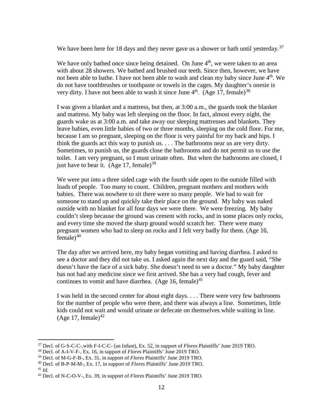We have been here for 18 days and they never gave us a shower or bath until yesterday.<sup>[37](#page-11-0)</sup>

We have only bathed once since being detained. On June  $4<sup>th</sup>$ , we were taken to an area with about 28 showers. We bathed and brushed our teeth. Since then, however, we have not been able to bathe. I have not been able to wash and clean my baby since June 4<sup>th</sup>. We do not have toothbrushes or toothpaste or towels in the cages. My daughter's onesie is very dirty. I have not been able to wash it since June  $4<sup>th</sup>$ . (Age 17, female)<sup>[38](#page-11-1)</sup>

I was given a blanket and a mattress, but then, at 3:00 a.m., the guards took the blanket and mattress. My baby was left sleeping on the floor. In fact, almost every night, the guards wake us at 3:00 a.m. and take away our sleeping mattresses and blankets. They leave babies, even little babies of two or three months, sleeping on the cold floor. For me, because I am so pregnant, sleeping on the floor is very painful for my back and hips. I think the guards act this way to punish us. . . . The bathrooms near us are very dirty. Sometimes, to punish us, the guards close the bathrooms and do not permit us to use the toilet. I am very pregnant, so I must urinate often. But when the bathrooms are closed, I just have to bear it. (Age 17, female)<sup>[39](#page-11-2)</sup>

We were put into a three sided cage with the fourth side open to the outside filled with loads of people. Too many to count. Children, pregnant mothers and mothers with babies. There was nowhere to sit there were so many people. We had to wait for someone to stand up and quickly take their place on the ground. My baby was naked outside with no blanket for all four days we were there. We were freezing. My baby couldn't sleep because the ground was cement with rocks, and in some places only rocks, and every time she moved the sharp ground would scratch her. There were many pregnant women who had to sleep on rocks and I felt very badly for them. (Age 16,  $f$ emale)<sup>[40](#page-11-3)</sup>

The day after we arrived here, my baby began vomiting and having diarrhea. I asked to see a doctor and they did not take us. I asked again the next day and the guard said, "She doesn't have the face of a sick baby. She doesn't need to see a doctor." My baby daughter has not had any medicine since we first arrived. She has a very bad cough, fever and continues to vomit and have diarrhea. (Age 16, female)<sup>[41](#page-11-4)</sup>

I was held in the second center for about eight days. . . . There were very few bathrooms for the number of people who were there, and there was always a line. Sometimes, little kids could not wait and would urinate or defecate on themselves while waiting in line. (Age 17, female)<sup>[42](#page-11-5)</sup>

<span id="page-11-0"></span> <sup>37</sup> Decl. of G-S-C-C-,with F-I-C-C- (an Infant), Ex. 52, in support of *Flores* Plaintiffs' June 2019 TRO.

<span id="page-11-1"></span><sup>38</sup> Decl. of A-I-V-F-, Ex. 16, in support of *Flores* Plaintiffs' June 2019 TRO.

<span id="page-11-2"></span><sup>39</sup> Decl. of M-G-F-B-, Ex. 31, in support of *Flores* Plaintiffs' June 2019 TRO.

<span id="page-11-3"></span><sup>40</sup> Decl. of B-P-M-M-, Ex. 17, in support of *Flores* Plaintiffs' June 2019 TRO.

<span id="page-11-4"></span><sup>41</sup> *Id.*

<span id="page-11-5"></span><sup>42</sup> Decl. of N-C-O-V-, Ex. 39, in support of *Flores* Plaintiffs' June 2019 TRO.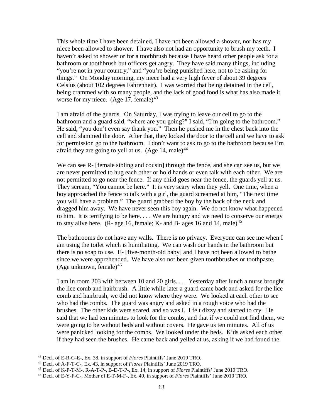This whole time I have been detained, I have not been allowed a shower, nor has my niece been allowed to shower. I have also not had an opportunity to brush my teeth. I haven't asked to shower or for a toothbrush because I have heard other people ask for a bathroom or toothbrush but officers get angry. They have said many things, including "you're not in your country," and "you're being punished here, not to be asking for things." On Monday morning, my niece had a very high fever of about 39 degrees Celsius (about 102 degrees Fahrenheit). I was worried that being detained in the cell, being crammed with so many people, and the lack of good food is what has also made it worse for my niece.  $(Age 17, female)^{43}$  $(Age 17, female)^{43}$  $(Age 17, female)^{43}$ 

I am afraid of the guards. On Saturday, I was trying to leave our cell to go to the bathroom and a guard said, "where are you going?" I said, "I'm going to the bathroom." He said, "you don't even say thank you." Then he pushed me in the chest back into the cell and slammed the door. After that, they locked the door to the cell and we have to ask for permission go to the bathroom. I don't want to ask to go to the bathroom because I'm afraid they are going to yell at us. (Age 14, male)<sup>[44](#page-12-1)</sup>

We can see R- [female sibling and cousin] through the fence, and she can see us, but we are never permitted to hug each other or hold hands or even talk with each other. We are not permitted to go near the fence. If any child goes near the fence, the guards yell at us. They scream, "You cannot be here." It is very scary when they yell. One time, when a boy approached the fence to talk with a girl, the guard screamed at him, "The next time you will have a problem." The guard grabbed the boy by the back of the neck and dragged him away. We have never seen this boy again. We do not know what happened to him. It is terrifying to be here. . . . We are hungry and we need to conserve our energy to stay alive here. (R- age 16, female; K- and B- ages 16 and 14, male)<sup>[45](#page-12-2)</sup>

The bathrooms do not have any walls. There is no privacy. Everyone can see me when I am using the toilet which is humiliating. We can wash our hands in the bathroom but there is no soap to use. E- [five-month-old baby] and I have not been allowed to bathe since we were apprehended. We have also not been given toothbrushes or toothpaste. (Age unknown, female)<sup>[46](#page-12-3)</sup>

I am in room 203 with between 10 and 20 girls. . . . Yesterday after lunch a nurse brought the lice comb and hairbrush. A little while later a guard came back and asked for the lice comb and hairbrush, we did not know where they were. We looked at each other to see who had the combs. The guard was angry and asked in a rough voice who had the brushes. The other kids were scared, and so was I. I felt dizzy and started to cry. He said that we had ten minutes to look for the combs, and that if we could not find them, we were going to be without beds and without covers. He gave us ten minutes. All of us were panicked looking for the combs. We looked under the beds. Kids asked each other if they had seen the brushes. He came back and yelled at us, asking if we had found the

<span id="page-12-0"></span> <sup>43</sup> Decl. of E-R-G-E-, Ex. 38, in support of *Flores* Plaintiffs' June 2019 TRO.

<span id="page-12-1"></span><sup>&</sup>lt;sup>44</sup> Decl. of A-F-T-C-, Ex. 43, in support of *Flores* Plaintiffs' June 2019 TRO.<br><sup>45</sup> Decl. of K-P-T-M-, R-A-T-P-, B-D-T-P-, Ex. 14, in support of *Flores* Plaintiffs' June 2019 TRO.

<span id="page-12-3"></span><span id="page-12-2"></span><sup>&</sup>lt;sup>46</sup> Decl. of E-Y-F-C-, Mother of E-T-M-F-, Ex. 49, in support of *Flores* Plaintiffs' June 2019 TRO.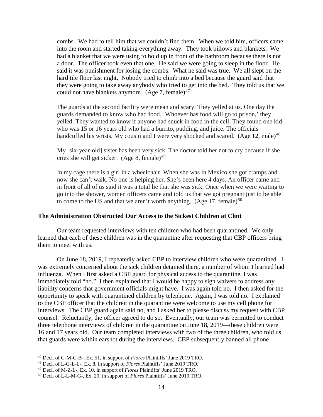combs. We had to tell him that we couldn't find them. When we told him, officers came into the room and started taking everything away. They took pillows and blankets. We had a blanket that we were using to hold up in front of the bathroom because there is not a door. The officer took even that one. He said we were going to sleep in the floor. He said it was punishment for losing the combs. What he said was true. We all slept on the hard tile floor last night. Nobody tried to climb into a bed because the guard said that they were going to take away anybody who tried to get into the bed. They told us that we could not have blankets anymore.  $(Age 7, female)^{47}$  $(Age 7, female)^{47}$  $(Age 7, female)^{47}$ 

The guards at the second facility were mean and scary. They yelled at us. One day the guards demanded to know who had food. 'Whoever has food will go to prison,' they yelled. They wanted to know if anyone had snuck in food in the cell. They found one kid who was 15 or 16 years old who had a burrito, pudding, and juice. The officials handcuffed his wrists. My cousin and I were very shocked and scared. (Age 12, male)<sup>[48](#page-13-1)</sup>

My [six-year-old] sister has been very sick. The doctor told her not to cry because if she cries she will get sicker. (Age 8, female) $^{49}$  $^{49}$  $^{49}$ 

In my cage there is a girl in a wheelchair. When she was in Mexico she got cramps and now she can't walk. No one is helping her. She's been here 4 days. An officer came and in front of all of us said it was a total lie that she was sick. Once when we were waiting to go into the shower, women officers came and told us that we got pregnant just to be able to come to the US and that we aren't worth anything. (Age 17, female)<sup>[50](#page-13-3)</sup>

#### **The Administration Obstructed Our Access to the Sickest Children at Clint**

Our team requested interviews with ten children who had been quarantined. We only learned that each of these children was in the quarantine after requesting that CBP officers bring them to meet with us.

On June 18, 2019, I repeatedly asked CBP to interview children who were quarantined. I was extremely concerned about the sick children detained there, a number of whom I learned had influenza. When I first asked a CBP guard for physical access to the quarantine, I was immediately told "no." I then explained that I would be happy to sign waivers to address any liability concerns that government officials might have. I was again told no. I then asked for the opportunity to speak with quarantined children by telephone. Again, I was told no. I explained to the CBP officer that the children in the quarantine were welcome to use my cell phone for interviews. The CBP guard again said no, and I asked her to please discuss my request with CBP counsel. Reluctantly, the officer agreed to do so. Eventually, our team was permitted to conduct three telephone interviews of children in the quarantine on June 18, 2019—these children were 16 and 17 years old. Our team completed interviews with two of the three children, who told us that guards were within earshot during the interviews. CBP subsequently banned all phone

<span id="page-13-0"></span><sup>47</sup> Decl. of G-M-C-B-, Ex. 51, in support of *Flores* Plaintiffs' June 2019 TRO. 48 Decl. of L-G-L-L-, Ex. 8, in support of *Flores* Plaintiffs' June 2019 TRO.

<span id="page-13-2"></span><span id="page-13-1"></span><sup>49</sup> Decl. of M-Z-L-, Ex. 10, in support of *Flores* Plaintiffs' June 2019 TRO.

<span id="page-13-3"></span><sup>50</sup> Decl. of L-L-M-G-, Ex. 29, in support of *Flores* Plaintiffs' June 2019 TRO.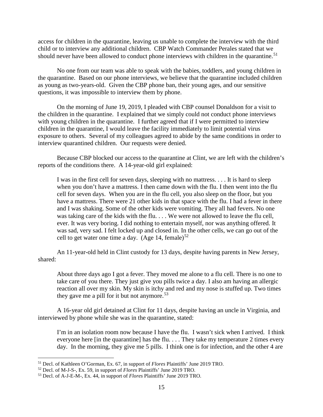access for children in the quarantine, leaving us unable to complete the interview with the third child or to interview any additional children. CBP Watch Commander Perales stated that we should never have been allowed to conduct phone interviews with children in the quarantine.<sup>[51](#page-14-0)</sup>

No one from our team was able to speak with the babies, toddlers, and young children in the quarantine. Based on our phone interviews, we believe that the quarantine included children as young as two-years-old. Given the CBP phone ban, their young ages, and our sensitive questions, it was impossible to interview them by phone.

On the morning of June 19, 2019, I pleaded with CBP counsel Donaldson for a visit to the children in the quarantine. I explained that we simply could not conduct phone interviews with young children in the quarantine. I further agreed that if I were permitted to interview children in the quarantine, I would leave the facility immediately to limit potential virus exposure to others. Several of my colleagues agreed to abide by the same conditions in order to interview quarantined children. Our requests were denied.

Because CBP blocked our access to the quarantine at Clint, we are left with the children's reports of the conditions there. A 14-year-old girl explained:

I was in the first cell for seven days, sleeping with no mattress. . . . It is hard to sleep when you don't have a mattress. I then came down with the flu. I then went into the flu cell for seven days. When you are in the flu cell, you also sleep on the floor, but you have a mattress. There were 21 other kids in that space with the flu. I had a fever in there and I was shaking. Some of the other kids were vomiting. They all had fevers. No one was taking care of the kids with the flu. . . . We were not allowed to leave the flu cell, ever. It was very boring. I did nothing to entertain myself, nor was anything offered. It was sad, very sad. I felt locked up and closed in. In the other cells, we can go out of the cell to get water one time a day.  $(Age 14, female)^{52}$  $(Age 14, female)^{52}$  $(Age 14, female)^{52}$ 

An 11-year-old held in Clint custody for 13 days, despite having parents in New Jersey, shared:

About three days ago I got a fever. They moved me alone to a flu cell. There is no one to take care of you there. They just give you pills twice a day. I also am having an allergic reaction all over my skin. My skin is itchy and red and my nose is stuffed up. Two times they gave me a pill for it but not anymore.<sup>[53](#page-14-2)</sup>

A 16-year old girl detained at Clint for 11 days, despite having an uncle in Virginia, and interviewed by phone while she was in the quarantine, stated:

I'm in an isolation room now because I have the flu. I wasn't sick when I arrived. I think everyone here [in the quarantine] has the flu. . . . They take my temperature 2 times every day. In the morning, they give me 5 pills. I think one is for infection, and the other 4 are

<span id="page-14-0"></span> <sup>51</sup> Decl. of Kathleen O'Gorman, Ex. 67, in support of *Flores* Plaintiffs' June 2019 TRO.

<span id="page-14-1"></span><sup>52</sup> Decl. of M-J-S-, Ex. 59, in support of *Flores* Plaintiffs' June 2019 TRO.

<span id="page-14-2"></span><sup>53</sup> Decl. of A-J-E-M-, Ex. 44, in support of *Flores* Plaintiffs' June 2019 TRO.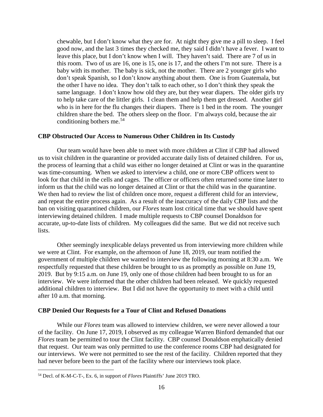chewable, but I don't know what they are for. At night they give me a pill to sleep. I feel good now, and the last 3 times they checked me, they said I didn't have a fever. I want to leave this place, but I don't know when I will. They haven't said. There are 7 of us in this room. Two of us are 16, one is 15, one is 17, and the others I'm not sure. There is a baby with its mother. The baby is sick, not the mother. There are 2 younger girls who don't speak Spanish, so I don't know anything about them. One is from Guatemala, but the other I have no idea. They don't talk to each other, so I don't think they speak the same language. I don't know how old they are, but they wear diapers. The older girls try to help take care of the littler girls. I clean them and help them get dressed. Another girl who is in here for the flu changes their diapers. There is 1 bed in the room. The younger children share the bed. The others sleep on the floor. I'm always cold, because the air conditioning bothers me. $54$ 

### **CBP Obstructed Our Access to Numerous Other Children in Its Custody**

Our team would have been able to meet with more children at Clint if CBP had allowed us to visit children in the quarantine or provided accurate daily lists of detained children. For us, the process of learning that a child was either no longer detained at Clint or was in the quarantine was time-consuming. When we asked to interview a child, one or more CBP officers went to look for that child in the cells and cages. The officer or officers often returned some time later to inform us that the child was no longer detained at Clint or that the child was in the quarantine. We then had to review the list of children once more, request a different child for an interview, and repeat the entire process again. As a result of the inaccuracy of the daily CBP lists and the ban on visiting quarantined children, our *Flores* team lost critical time that we should have spent interviewing detained children. I made multiple requests to CBP counsel Donaldson for accurate, up-to-date lists of children. My colleagues did the same. But we did not receive such lists.

Other seemingly inexplicable delays prevented us from interviewing more children while we were at Clint. For example, on the afternoon of June 18, 2019, our team notified the government of multiple children we wanted to interview the following morning at 8:30 a.m. We respectfully requested that these children be brought to us as promptly as possible on June 19, 2019. But by 9:15 a.m. on June 19, only one of those children had been brought to us for an interview. We were informed that the other children had been released. We quickly requested additional children to interview. But I did not have the opportunity to meet with a child until after 10 a.m. that morning.

#### **CBP Denied Our Requests for a Tour of Clint and Refused Donations**

While our *Flores* team was allowed to interview children, we were never allowed a tour of the facility. On June 17, 2019, I observed as my colleague Warren Binford demanded that our *Flores* team be permitted to tour the Clint facility. CBP counsel Donaldson emphatically denied that request. Our team was only permitted to use the conference rooms CBP had designated for our interviews. We were not permitted to see the rest of the facility. Children reported that they had never before been to the part of the facility where our interviews took place.

<span id="page-15-0"></span> <sup>54</sup> Decl. of K-M-C-T-, Ex. 6, in support of *Flores* Plaintiffs' June 2019 TRO.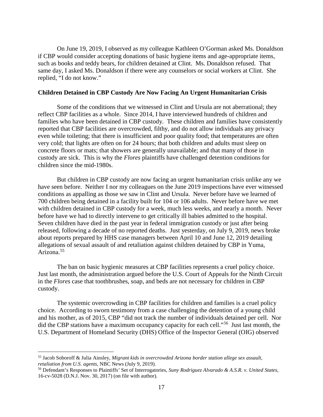On June 19, 2019, I observed as my colleague Kathleen O'Gorman asked Ms. Donaldson if CBP would consider accepting donations of basic hygiene items and age-appropriate items, such as books and teddy bears, for children detained at Clint. Ms. Donaldson refused. That same day, I asked Ms. Donaldson if there were any counselors or social workers at Clint. She replied, "I do not know."

#### **Children Detained in CBP Custody Are Now Facing An Urgent Humanitarian Crisis**

Some of the conditions that we witnessed in Clint and Ursula are not aberrational; they reflect CBP facilities as a whole. Since 2014, I have interviewed hundreds of children and families who have been detained in CBP custody. These children and families have consistently reported that CBP facilities are overcrowded, filthy, and do not allow individuals any privacy even while toileting; that there is insufficient and poor quality food; that temperatures are often very cold; that lights are often on for 24 hours; that both children and adults must sleep on concrete floors or mats; that showers are generally unavailable; and that many of those in custody are sick. This is why the *Flores* plaintiffs have challenged detention conditions for children since the mid-1980s.

But children in CBP custody are now facing an urgent humanitarian crisis unlike any we have seen before. Neither I nor my colleagues on the June 2019 inspections have ever witnessed conditions as appalling as those we saw in Clint and Ursula. Never before have we learned of 700 children being detained in a facility built for 104 or 106 adults. Never before have we met with children detained in CBP custody for a week, much less weeks, and nearly a month. Never before have we had to directly intervene to get critically ill babies admitted to the hospital. Seven children have died in the past year in federal immigration custody or just after being released, following a decade of no reported deaths. Just yesterday, on July 9, 2019, news broke about reports prepared by HHS case managers between April 10 and June 12, 2019 detailing allegations of sexual assault of and retaliation against children detained by CBP in Yuma, Arizona.[55](#page-16-0)

The ban on basic hygienic measures at CBP facilities represents a cruel policy choice. Just last month, the administration argued before the U.S. Court of Appeals for the Ninth Circuit in the *Flores* case that toothbrushes, soap, and beds are not necessary for children in CBP custody.

The systemic overcrowding in CBP facilities for children and families is a cruel policy choice. According to sworn testimony from a case challenging the detention of a young child and his mother, as of 2015, CBP "did not track the number of individuals detained per cell. Nor did the CBP stations have a maximum occupancy capacity for each cell."<sup>56</sup> Just last month, the U.S. Department of Homeland Security (DHS) Office of the Inspector General (OIG) observed

<span id="page-16-0"></span> <sup>55</sup> Jacob Soboroff & Julia Ainsley, *Migrant kids in overcrowded Arizona border station allege sex assault, retaliation from U.S. agents*, NBC News (July 9, 2019).

<span id="page-16-1"></span><sup>56</sup> Defendant's Responses to Plaintiffs' Set of Interrogatories, *Suny Rodriguez Alvarado & A.S.R. v. United States*, 16-cv-5028 (D.N.J. Nov. 30, 2017) (on file with author).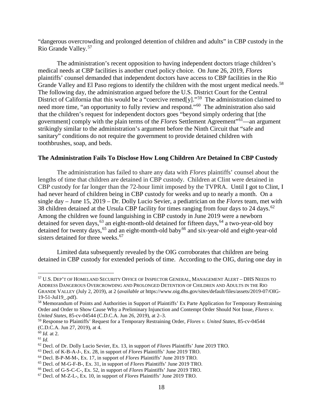"dangerous overcrowding and prolonged detention of children and adults" in CBP custody in the Rio Grande Valley.[57](#page-17-0)

The administration's recent opposition to having independent doctors triage children's medical needs at CBP facilities is another cruel policy choice. On June 26, 2019, *Flores*  plaintiffs' counsel demanded that independent doctors have access to CBP facilities in the Rio Grande Valley and El Paso regions to identify the children with the most urgent medical needs.<sup>58</sup> The following day, the administration argued before the U.S. District Court for the Central District of California that this would be a "coercive remed[y]."<sup>59</sup> The administration claimed to need more time, "an opportunity to fully review and respond."<sup>[60](#page-17-3)</sup> The administration also said that the children's request for independent doctors goes "beyond simply ordering that [the government] comply with the plain terms of the *Flores* Settlement Agreement"[61—](#page-17-4)an argument strikingly similar to the administration's argument before the Ninth Circuit that "safe and sanitary" conditions do not require the government to provide detained children with toothbrushes, soap, and beds.

# **The Administration Fails To Disclose How Long Children Are Detained In CBP Custody**

The administration has failed to share any data with *Flores* plaintiffs' counsel about the lengths of time that children are detained in CBP custody. Children at Clint were detained in CBP custody for far longer than the 72-hour limit imposed by the TVPRA. Until I got to Clint, I had never heard of children being in CBP custody for weeks and up to nearly a month. On a single day – June 15, 2019 – Dr. Dolly Lucio Sevier, a pediatrician on the *Flores* team, met with 38 children detained at the Ursula CBP facility for times ranging from four days to 24 days.<sup>62</sup> Among the children we found languishing in CBP custody in June 2019 were a newborn detained for seven days,  $63$  an eight-month-old detained for fifteen days,  $64$  a two-year-old boy detained for twenty days,<sup>[65](#page-17-8)</sup> and an eight-month-old baby<sup>[66](#page-17-9)</sup> and six-year-old and eight-year-old sisters detained for three weeks.<sup>[67](#page-17-10)</sup>

Limited data subsequently revealed by the OIG corroborates that children are being detained in CBP custody for extended periods of time. According to the OIG, during one day in

<span id="page-17-0"></span> <sup>57</sup> U.S. DEP'T OF HOMELAND SECURITY OFFICE OF INSPECTOR GENERAL, MANAGEMENT ALERT – DHS NEEDS TO ADDRESS DANGEROUS OVERCROWDING AND PROLONGED DETENTION OF CHILDREN AND ADULTS IN THE RIO GRANDE VALLEY (July 2, 2019), at 2 (*available at* https://www.oig.dhs.gov/sites/default/files/assets/2019-07/OIG-19-51-Jul19\_.pdf).

<span id="page-17-1"></span><sup>58</sup> Memorandum of Points and Authorities in Support of Plaintiffs' Ex Parte Application for Temporary Restraining Order and Order to Show Cause Why a Preliminary Injunction and Contempt Order Should Not Issue, *Flores v. United States*, 85-cv-04544 (C.D.C.A. Jun 26, 2019), at 2–3.

<span id="page-17-2"></span><sup>59</sup> Response to Plaintiffs' Request for a Temporary Restraining Order, *Flores v. United States,* 85-cv-04544 (C.D.C.A. Jun 27, 2019), at 4.

<span id="page-17-3"></span><sup>60</sup> *Id.* at 2.

<span id="page-17-4"></span><sup>61</sup> *Id.*

<span id="page-17-5"></span><sup>62</sup> Decl. of Dr. Dolly Lucio Sevier, Ex. 13, in support of *Flores* Plaintiffs' June 2019 TRO.

<span id="page-17-6"></span><sup>63</sup> Decl. of K-B-A-J-, Ex. 28, in support of *Flores* Plaintiffs' June 2019 TRO.

<span id="page-17-7"></span><sup>64</sup> Decl. B-P-M-M-, Ex. 17, in support of *Flores* Plaintiffs' June 2019 TRO.

<span id="page-17-8"></span><sup>65</sup> Decl. of M-G-F-B-, Ex. 31, in support of *Flores* Plaintiffs' June 2019 TRO.

<span id="page-17-9"></span><sup>66</sup> Decl. of G-S-C-C-, Ex. 52, in support of *Flores* Plaintiffs' June 2019 TRO.

<span id="page-17-10"></span><sup>67</sup> Decl. of M-Z-L-, Ex. 10, in support of *Flores* Plaintiffs' June 2019 TRO.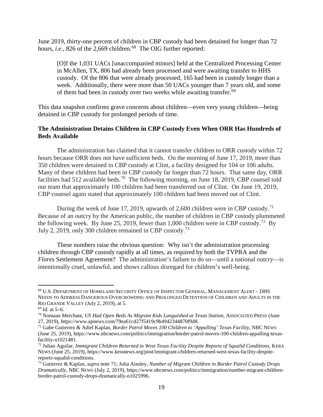June 2019, thirty-one percent of children in CBP custody had been detained for longer than 72 hours, *i.e.*, 826 of the 2,669 children.<sup>[68](#page-18-0)</sup> The OIG further reported:

[O]f the 1,031 UACs [unaccompanied minors] held at the Centralized Processing Center in McAllen, TX, 806 had already been processed and were awaiting transfer to HHS custody. Of the 806 that were already processed, 165 had been in custody longer than a week. Additionally, there were more than 50 UACs younger than 7 years old, and some of them had been in custody over two weeks while awaiting transfer.<sup>[69](#page-18-1)</sup>

This data snapshot confirms grave concerns about children—even very young children—being detained in CBP custody for prolonged periods of time.

## **The Administration Detains Children in CBP Custody Even When ORR Has Hundreds of Beds Available**

The administration has claimed that it cannot transfer children to ORR custody within 72 hours because ORR does not have sufficient beds. On the morning of June 17, 2019, more than 350 children were detained in CBP custody at Clint, a facility designed for 104 or 106 adults. Many of these children had been in CBP custody far longer than 72 hours. That same day, ORR facilities had 512 available beds.<sup>70</sup> The following morning, on June 18, 2019, CBP counsel told our team that approximately 100 children had been transferred out of Clint. On June 19, 2019, CBP counsel again stated that approximately 100 children had been moved out of Clint.

During the week of June 17, 2019, upwards of 2,600 children were in CBP custody.<sup>[71](#page-18-3)</sup> Because of an outcry by the American public, the number of children in CBP custody plummeted the following week. By June 25, 2019, fewer than 1,000 children were in CBP custody.<sup>[72](#page-18-4)</sup> By July 2, 2019, only 300 children remained in CBP custody.[73](#page-18-5)

These numbers raise the obvious question: Why isn't the administration processing children through CBP custody rapidly at all times, as required by both the TVPRA and the *Flores* Settlement Agreement? The administration's failure to do so—until a national outcry—is intentionally cruel, unlawful, and shows callous disregard for children's well-being.

<span id="page-18-0"></span> <sup>68</sup> U.S. DEPARTMENT OF HOMELAND SECURITY OFFICE OF INSPECTOR GENERAL, MANAGEMENT ALERT – DHS NEEDS TO ADDRESS DANGEROUS OVERCROWDING AND PROLONGED DETENTION OF CHILDREN AND ADULTS IN THE RIO GRANDE VALLEY (July 2, 2019), at 5.

<span id="page-18-2"></span><span id="page-18-1"></span><sup>69</sup> *Id.* at 5–6. 70 Nomaan Merchant, *US Had Open Beds As Migrant Kids Languished at Texas Station*, ASSOCIATED PRESS (June 27, 2019), https://www.apnews.com/79ea61cd27f5419c9b4942344870f9d8.

<span id="page-18-3"></span><sup>71</sup> Gabe Gutierrez & Adiel Kaplan, *Border Patrol Moves 100 Children to 'Appalling' Texas Facility*, NBC NEWS (June 25, 2019), https://www.nbcnews.com/politics/immigration/border-patrol-moves-100-children-appalling-texasfacility-n1021481.

<span id="page-18-4"></span><sup>72</sup> Julian Aguilar, *Immigrant Children Returned to West Texas Facility Despite Reports of Squalid Conditions*, KERA NEWS (June 25, 2019), https://www.keranews.org/post/immigrant-children-returned-west-texas-facility-despitereports-squalid-conditions.

<span id="page-18-5"></span><sup>73</sup> Gutierrez & Kaplan, *supra* note 71; Julia Ainsley, *Number of Migrant Children in Border Patrol Custody Drops Dramatically*, NBC NEWS (July 2, 2019), https://www.nbcnews.com/politics/immigration/number-migrant-childrenborder-patrol-custody-drops-dramatically-n1025996.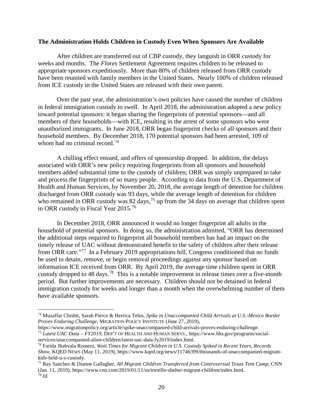#### **The Administration Holds Children in Custody Even When Sponsors Are Available**

After children are transferred out of CBP custody, they languish in ORR custody for weeks and months. The *Flores* Settlement Agreement requires children to be released to appropriate sponsors expeditiously. More than 80% of children released from ORR custody have been reunited with family members in the United States. Nearly 100% of children released from ICE custody in the United States are released with their own parent.

Over the past year, the administration's own policies have caused the number of children in federal immigration custody to swell. In April 2018, the administration adopted a new policy toward potential sponsors: it began sharing the fingerprints of potential sponsors—and all members of their households—with ICE, resulting in the arrest of some sponsors who were unauthorized immigrants. In June 2018, ORR began fingerprint checks of all sponsors and their household members. By December 2018, 170 potential sponsors had been arrested, 109 of whom had no criminal record.<sup>74</sup>

A chilling effect ensued, and offers of sponsorship dropped. In addition, the delays associated with ORR's new policy requiring fingerprints from all sponsors and household members added substantial time to the custody of children; ORR was simply unprepared to take and process the fingerprints of so many people. According to data from the U.S. Department of Health and Human Services, by November 20, 2018, the average length of detention for children discharged from ORR custody was 93 days, while the average length of detention for children who remained in ORR custody was 82 days,<sup>[75](#page-19-1)</sup> up from the 34 days on average that children spent in ORR custody in Fiscal Year 2015. [76](#page-19-2)

In December 2018, ORR announced it would no longer fingerprint all adults in the household of potential sponsors. In doing so, the administration admitted, "ORR has determined the additional steps required to fingerprint all household members has had an impact on the timely release of UAC without demonstrated benefit to the safety of children after their release from ORR care."[77](#page-19-3) In a February 2019 appropriations bill, Congress conditioned that no funds be used to detain, remove, or begin removal proceedings against any sponsor based on information ICE received from ORR. By April 2019, the average time children spent in ORR custody dropped to 48 days.<sup>78</sup> This is a notable improvement in release times over a five-month period. But further improvements are necessary. Children should not be detained in federal immigration custody for weeks and longer than a month when the overwhelming number of them have available sponsors.

<span id="page-19-0"></span> <sup>74</sup> Muzaffar Chishti, Sarah Pierce & Herrica Telus, *Spike in Unaccompanied Child Arrivals at U.S.-Mexico Border Proves Enduring Challenge*, MIGRATION POLICY INSTITUTE (June 27, 2019),

<span id="page-19-1"></span>https://www.migrationpolicy.org/article/spike-unaccompanied-child-arrivals-proves-enduring-challenge. <sup>75</sup> *Latest UAC Data – FY2019*, DEP'T OF HEALTH AND HUMAN SERVS., https://www.hhs.gov/programs/social-services/unaccompanied-alien-children/latest-uac-data-fy2019/index.html.

<span id="page-19-2"></span><sup>&</sup>lt;sup>76</sup> Farida Jhabvala Romero, *Wait Times for Migrant Children in U.S. Custody Spiked in Recent Years, Records Show*, KQED NEWS (May 11, 2019), https://www.kqed.org/news/11746399/thousands-of-unaccompanied-migrantkids-held-u-s-custody.<br><sup>77</sup> Ray Sanchez & Dianne Gallagher, *All Migrant Children Transferred from Controversial Texas Tent Camp*, CNN

<span id="page-19-4"></span><span id="page-19-3"></span><sup>(</sup>Jan. 11, 2019), https://www.cnn.com/2019/01/11/us/tornillo-shelter-migrant-children/index.html. <sup>78</sup> *Id.*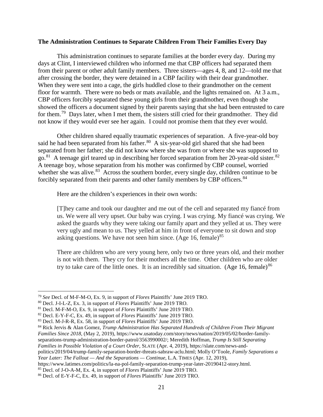#### **The Administration Continues to Separate Children From Their Families Every Day**

This administration continues to separate families at the border every day. During my days at Clint, I interviewed children who informed me that CBP officers had separated them from their parent or other adult family members. Three sisters—ages 4, 8, and 12—told me that after crossing the border, they were detained in a CBP facility with their dear grandmother. When they were sent into a cage, the girls huddled close to their grandmother on the cement floor for warmth. There were no beds or mats available, and the lights remained on. At 3 a.m., CBP officers forcibly separated these young girls from their grandmother, even though she showed the officers a document signed by their parents saying that she had been entrusted to care for them.[79](#page-20-0) Days later, when I met them, the sisters still cried for their grandmother. They did not know if they would ever see her again. I could not promise them that they ever would.

Other children shared equally traumatic experiences of separation. A five-year-old boy said he had been separated from his father.<sup>80</sup> A six-year-old girl shared that she had been separated from her father; she did not know where she was from or where she was supposed to go.<sup>81</sup> A teenage girl teared up in describing her forced separation from her 20-year-old sister.<sup>[82](#page-20-3)</sup> A teenage boy, whose separation from his mother was confirmed by CBP counsel, worried whether she was alive.<sup>[83](#page-20-4)</sup> Across the southern border, every single day, children continue to be forcibly separated from their parents and other family members by CBP officers.<sup>[84](#page-20-5)</sup>

Here are the children's experiences in their own words:

[T]hey came and took our daughter and me out of the cell and separated my fiancé from us. We were all very upset. Our baby was crying. I was crying. My fiancé was crying. We asked the guards why they were taking our family apart and they yelled at us. They were very ugly and mean to us. They yelled at him in front of everyone to sit down and stop asking questions. We have not seen him since. (Age 16, female) $85$ 

There are children who are very young here, only two or three years old, and their mother is not with them. They cry for their mothers all the time. Other children who are older try to take care of the little ones. It is an incredibly sad situation. (Age 16, female)<sup>[86](#page-20-7)</sup>

<span id="page-20-1"></span><span id="page-20-0"></span><sup>79</sup> *See* Decl. of M-F-M-O, Ex. 9, in support of *Flores* Plaintiffs' June 2019 TRO. 80 Decl. J-I-L-Z, Ex. 3, in support of *Flores* Plaintiffs' June 2019 TRO.

<span id="page-20-2"></span><sup>81</sup> Decl. M-F-M-O, Ex. 9, in support of *Flores* Plaintiffs' June 2019 TRO.

<span id="page-20-3"></span><sup>82</sup> Decl. E-Y-F-C, Ex. 49, in support of *Flores* Plaintiffs' June 2019 TRO.

<span id="page-20-4"></span><sup>83</sup> Decl. M-J-R-R, Ex. 58, in support of *Flores* Plaintiffs' June 2019 TRO.

<span id="page-20-5"></span><sup>84</sup> Rick Jervis & Alan Gomez, *Trump Administration Has Separated Hundreds of Children From Their Migrant Families Since 2018*, (May 2, 2019), https://www.usatoday.com/story/news/nation/2019/05/02/border-familyseparations-trump-administration-border-patrol/3563990002/; Meredith Hoffman, *Trump Is Still Separating Families in Possible Violation of a Court Order*, SLATE (Apr. 4, 2019), https://slate.com/news-andpolitics/2019/04/trump-family-separation-border-threats-sabraw-aclu.html; Molly O'Toole, *Family Separations a Year Later: The Fallout — And the Separations — Continue*, L.A. TIMES (Apr. 12, 2019),

https://www.latimes.com/politics/la-na-pol-family-separation-trump-year-later-20190412-story.html.

<span id="page-20-6"></span><sup>85</sup> Decl. of J-O-A-M, Ex. 4, in support of *Flores* Plaintiffs' June 2019 TRO.

<span id="page-20-7"></span><sup>86</sup> Decl. of E-Y-F-C, Ex. 49, in support of *Flores* Plaintiffs' June 2019 TRO.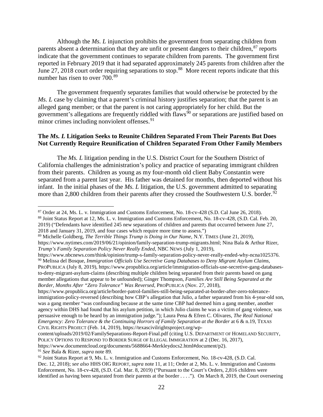Although the *Ms. L* injunction prohibits the government from separating children from parents absent a determination that they are unfit or present dangers to their children, $87$  reports indicate that the government continues to separate children from parents. The government first reported in February 2019 that it had separated approximately 245 parents from children after the June 27, 2018 court order requiring separations to stop.<sup>[88](#page-21-1)</sup> More recent reports indicate that this number has risen to over 700.<sup>[89](#page-21-2)</sup>

The government frequently separates families that would otherwise be protected by the *Ms. L* case by claiming that a parent's criminal history justifies separation; that the parent is an alleged gang member; or that the parent is not caring appropriately for her child. But the government's allegations are frequently riddled with flaws<sup>[90](#page-21-3)</sup> or separations are justified based on minor crimes including nonviolent offenses.<sup>[91](#page-21-4)</sup>

## **The** *Ms. L* **Litigation Seeks to Reunite Children Separated From Their Parents But Does Not Currently Require Reunification of Children Separated From Other Family Members**

The *Ms. L* litigation pending in the U.S. District Court for the Southern District of California challenges the administration's policy and practice of separating immigrant children from their parents. Children as young as my four-month old client Baby Constantin were separated from a parent last year. His father was detained for months, then deported without his infant. In the initial phases of the *Ms. L* litigation, the U.S. government admitted to separating more than 2,800 children from their parents after they crossed the Southwestern U.S. border.<sup>[92](#page-21-5)</sup>

<span id="page-21-3"></span>https://www.nbcnews.com/think/opinion/trump-s-family-separation-policy-never-really-ended-why-ncna1025376. <sup>90</sup> Melissa del Bosque, *Immigration Officials Use Secretive Gang Databases to Deny Migrant Asylum Claims*, PROPUBLICA (July 8, 2019), https://www.propublica.org/article/immigration-officials-use-secretive-gang-databasesto-deny-migrant-asylum-claims (describing multiple children being separated from their parents based on gang member allegations that appear to be unfounded); Ginger Thompson, *Families Are Still Being Separated at the Border, Months After "Zero Tolerance" Was Reversed*, PROPUBLICA (Nov. 27, 2018),

https://www.propublica.org/article/border-patrol-families-still-being-separated-at-border-after-zero-toleranceimmigration-policy-reversed (describing how CBP's allegation that Julio, a father separated from his 4-year-old son, was a gang member "was confounding because at the same time CBP had deemed him a gang member, another agency within DHS had found that his asylum petition, in which Julio claims he was a victim of gang violence, was persuasive enough to be heard by an immigration judge."); Laura Pena & Efren C. Olivares, *The Real National Emergency: Zero Tolerance & the Continuing Horrors of Family Separation at the Border* at 6 & n.19, TEXAS CIVIL RIGHTS PROJECT (Feb. 14, 2019), https://texascivilrightsproject.org/wp-

https://www.documentcloud.org/documents/5688664-Merkleydocs2.html#document/p2).

<span id="page-21-4"></span><sup>91</sup> *See* Bala & Rizer, *supra* note 89.

 <sup>87</sup> Order at 24, Ms. L. v. Immigration and Customs Enforcement, No. 18-cv-428 (S.D. Cal June 26, 2018).

<span id="page-21-1"></span><span id="page-21-0"></span><sup>88</sup> Joint Status Report at 12, Ms. L. v. Immigration and Customs Enforcement, No. 18-cv-428, (S.D. Cal. Feb. 20, 2019) ("Defendants have identified 245 new separations of children and parents that occurred between June 27,

<sup>2018</sup> and January 31, 2019, and four cases which require more time to assess.")

<span id="page-21-2"></span><sup>89</sup> Michelle Goldberg, *The Terrible Things Trump is Doing in Our Name*, N.Y. TIMES (June 21, 2019), https://www.nytimes.com/2019/06/21/opinion/family-separation-trump-migrants.html; Nina Bala & Arthur Rizer, *Trump's Family Separation Policy Never Really Ended*, NBC NEWS (July 1, 2019),

content/uploads/2019/02/FamilySeparations-Report-Final.pdf (citing U.S. DEPARTMENT OF HOMELAND SECURITY, POLICY OPTIONS TO RESPOND TO BORDER SURGE OF ILLEGAL IMMIGRATION at 2 (Dec. 16, 2017),

<span id="page-21-5"></span><sup>92</sup> Joint Status Report at 9, Ms. L. v. Immigration and Customs Enforcement, No. 18-cv-428, (S.D. Cal. Dec. 12, 2018); *see also* HHS OIG REPORT, *supra* note 11, at 11; Order at 2, Ms. L. v. Immigration and Customs Enforcement, No. 18-cv-428, (S.D. Cal. Mar. 8, 2019) ("Pursuant to the Court's Orders, 2,816 children were identified as having been separated from their parents at the border . . . ."). On March 8, 2019, the Court overseeing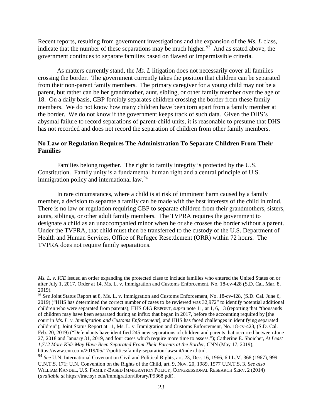Recent reports, resulting from government investigations and the expansion of the *Ms. L* class, indicate that the number of these separations may be much higher.<sup>93</sup> And as stated above, the government continues to separate families based on flawed or impermissible criteria.

As matters currently stand, the *Ms. L* litigation does not necessarily cover all families crossing the border. The government currently takes the position that children can be separated from their non-parent family members. The primary caregiver for a young child may not be a parent, but rather can be her grandmother, aunt, sibling, or other family member over the age of 18. On a daily basis, CBP forcibly separates children crossing the border from these family members. We do not know how many children have been torn apart from a family member at the border. We do not know if the government keeps track of such data. Given the DHS's abysmal failure to record separations of parent-child units, it is reasonable to presume that DHS has not recorded and does not record the separation of children from other family members.

# **No Law or Regulation Requires The Administration To Separate Children From Their Families**

Families belong together. The right to family integrity is protected by the U.S. Constitution. Family unity is a fundamental human right and a central principle of U.S. immigration policy and international law.<sup>[94](#page-22-1)</sup>

In rare circumstances, where a child is at risk of imminent harm caused by a family member, a decision to separate a family can be made with the best interests of the child in mind. There is no law or regulation requiring CBP to separate children from their grandmothers, sisters, aunts, siblings, or other adult family members. The TVPRA requires the government to designate a child as an unaccompanied minor when he or she crosses the border without a parent. Under the TVPRA, that child must then be transferred to the custody of the U.S. Department of Health and Human Services, Office of Refugee Resettlement (ORR) within 72 hours. The TVPRA does not require family separations.

 $\overline{a}$ 

*Ms. L. v. ICE* issued an order expanding the protected class to include families who entered the United States on or after July 1, 2017. Order at 14, Ms. L. v. Immigration and Customs Enforcement, No. 18-cv-428 (S.D. Cal. Mar. 8, 2019).

<span id="page-22-0"></span><sup>93</sup> *See* Joint Status Report at 8, Ms. L. v. Immigration and Customs Enforcement, No. 18-cv-428, (S.D. Cal. June 6, 2019) ("HHS has determined the correct number of cases to be reviewed was 32,972" to identify potential additional children who were separated from parents); HHS OIG REPORT, *supra* note 11, at 1, 6, 13 (reporting that "thousands of children may have been separated during an influx that began in 2017, before the accounting required by [the court in *Ms. L. v. Immigration and Customs Enforcement*], and HHS has faced challenges in identifying separated children"); Joint Status Report at 11, Ms. L. v. Immigration and Customs Enforcement, No. 18-cv-428, (S.D. Cal. Feb. 20, 2019) ("Defendants have identified 245 new separations of children and parents that occurred between June 27, 2018 and January 31, 2019, and four cases which require more time to assess."); Catherine E. Shoichet, *At Least 1,712 More Kids May Have Been Separated From Their Parents at the Border*, CNN (May 17, 2019), https://www.cnn.com/2019/05/17/politics/family-separation-lawsuit/index.html.

<span id="page-22-1"></span><sup>94</sup> *See* U.N. International Covenant on Civil and Political Rights, art. 23, Dec. 16, 1966, 6 I.L.M. 368 (1967), 999 U.N.T.S. 171; U.N. Convention on the Rights of the Child, art. 9, Nov. 20, 1989, 1577 U.N.T.S. 3. *See also* WILLIAM KANDEL, U.S. FAMILY-BASED IMMIGRATION POLICY, CONGRESSIONAL RESEARCH SERV. 2 (2014) (*available at* https://trac.syr.edu/immigration/library/P9368.pdf).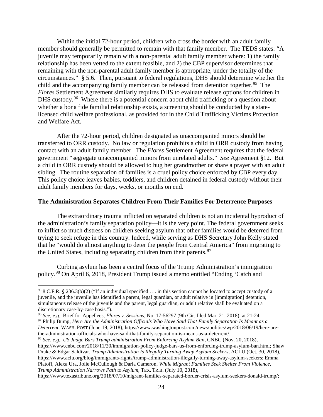Within the initial 72-hour period, children who cross the border with an adult family member should generally be permitted to remain with that family member. The TEDS states: "A juvenile may temporarily remain with a non-parental adult family member where: 1) the family relationship has been vetted to the extent feasible, and 2) the CBP supervisor determines that remaining with the non-parental adult family member is appropriate, under the totality of the circumstances." § 5.6. Then, pursuant to federal regulations, DHS should determine whether the child and the accompanying family member can be released from detention together.<sup>95</sup> The *Flores* Settlement Agreement similarly requires DHS to evaluate release options for children in DHS custody.<sup>96</sup> Where there is a potential concern about child trafficking or a question about whether a bona fide familial relationship exists, a screening should be conducted by a statelicensed child welfare professional, as provided for in the Child Trafficking Victims Protection and Welfare Act.

After the 72-hour period, children designated as unaccompanied minors should be transferred to ORR custody. No law or regulation prohibits a child in ORR custody from having contact with an adult family member. The *Flores* Settlement Agreement requires that the federal government "segregate unaccompanied minors from unrelated adults." *See* Agreement §12. But a child in ORR custody should be allowed to hug her grandmother or share a prayer with an adult sibling. The routine separation of families is a cruel policy choice enforced by CBP every day. This policy choice leaves babies, toddlers, and children detained in federal custody without their adult family members for days, weeks, or months on end.

#### **The Administration Separates Children From Their Families For Deterrence Purposes**

The extraordinary trauma inflicted on separated children is not an incidental byproduct of the administration's family separation policy—it is the very point. The federal government seeks to inflict so much distress on children seeking asylum that other families would be deterred from trying to seek refuge in this country. Indeed, while serving as DHS Secretary John Kelly stated that he "would do almost anything to deter the people from Central America" from migrating to the United States, including separating children from their parents.  $97$ 

Curbing asylum has been a central focus of the Trump Administration's immigration policy.[98](#page-23-3) On April 6, 2018, President Trump issued a memo entitled "Ending 'Catch and

<span id="page-23-0"></span><sup>&</sup>lt;sup>95</sup> 8 C.F.R. § 236.3(b)(2) ("If an individual specified  $\ldots$  in this section cannot be located to accept custody of a juvenile, and the juvenile has identified a parent, legal guardian, or adult relative in [immigration] detention, simultaneous release of the juvenile and the parent, legal guardian, or adult relative shall be evaluated on a discretionary case-by-case basis.").<br><sup>96</sup> See, e.g., Brief for Appellees, *Flores v. Sessions*, No. 17-56297 (9th Cir. filed Mar. 21, 2018), at 21-24.

<span id="page-23-2"></span><span id="page-23-1"></span><sup>97</sup> Philip Bump, Here Are the Administration Officials Who Have Said That Family Separation Is Meant as a *Deterrent*, WASH. POST (June 19, 2018), https://www.washingtonpost.com/news/politics/wp/2018/06/19/here-arethe-administration-officials-who-have-said-that-family-separation-is-meant-as-a-deterrent/.

<span id="page-23-3"></span><sup>98</sup> *See, e.g.*, *US Judge Bars Trump administration From Enforcing Asylum Ban*, CNBC (Nov. 20, 2018), https://www.cnbc.com/2018/11/20/immigration-policy-judge-bars-us-from-enforcing-trump-asylum-ban.html; Shaw Drake & Edgar Saldivar, *Trump Administration Is Illegally Turning Away Asylum Seekers*, ACLU (Oct. 30, 2018), https://www.aclu.org/blog/immigrants-rights/trump-administration-illegally-turning-away-asylum-seekers; Emma Platoff, Alexa Ura, Jolie McCullough & Darla Cameron, *While Migrant Families Seek Shelter From Violence, Trump Administration Narrows Path to Asylum*, TEX. TRIB. (July 10, 2018),

https://www.texastribune.org/2018/07/10/migrant-families-separated-border-crisis-asylum-seekers-donald-trump/;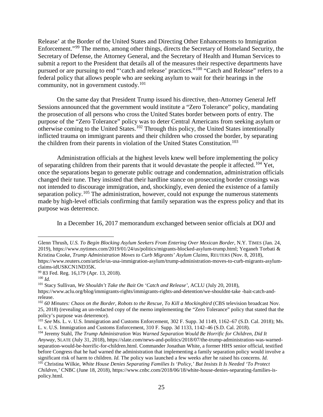Release' at the Border of the United States and Directing Other Enhancements to Immigration Enforcement."[99](#page-24-0) The memo, among other things, directs the Secretary of Homeland Security, the Secretary of Defense, the Attorney General, and the Secretary of Health and Human Services to submit a report to the President that details all of the measures their respective departments have pursued or are pursuing to end "'catch and release' practices."[100](#page-24-1) "Catch and Release" refers to a federal policy that allows people who are seeking asylum to wait for their hearings in the community, not in government custody.<sup>101</sup>

On the same day that President Trump issued his directive, then-Attorney General Jeff Sessions announced that the government would institute a "Zero Tolerance" policy, mandating the prosecution of all persons who cross the United States border between ports of entry. The purpose of the "Zero Tolerance" policy was to deter Central Americans from seeking asylum or otherwise coming to the United States.[102](#page-24-3) Through this policy, the United States intentionally inflicted trauma on immigrant parents and their children who crossed the border, by separating the children from their parents in violation of the United States Constitution.<sup>[103](#page-24-4)</sup>

Administration officials at the highest levels knew well before implementing the policy of separating children from their parents that it would devastate the people it affected.<sup>[104](#page-24-5)</sup> Yet, once the separations began to generate public outrage and condemnation, administration officials changed their tune. They insisted that their hardline stance on prosecuting border crossings was not intended to discourage immigration, and, shockingly, even denied the existence of a family separation policy.<sup>[105](#page-24-6)</sup> The administration, however, could not expunge the numerous statements made by high-level officials confirming that family separation was the express policy and that its purpose was deterrence.

In a December 16, 2017 memorandum exchanged between senior officials at DOJ and

 $\overline{a}$ 

<span id="page-24-2"></span><sup>101</sup> Stacy Sullivan, *We Shouldn't Take the Bait On 'Catch and Release'*, ACLU (July 20, 2018), https://www.aclu.org/blog/immigrants-rights/immigrants-rights-and-detention/we-shouldnt-take -bait-catch-andrelease.

Glenn Thrush, *U.S. To Begin Blocking Asylum Seekers From Entering Over Mexican Border*, N.Y. TIMES (Jan. 24, 2019), https://www.nytimes.com/2019/01/24/us/politics/migrants-blocked-asylum-trump.html; Yeganeh Torbati & Kristina Cooke, *Trump Administration Moves to Curb Migrants' Asylum Claims*, REUTERS (Nov. 8, 2018), https://www.reuters.com/article/us-usa-immigration-asylum/trump-administration-moves-to-curb-migrants-asylumclaims-idUSKCN1ND35K.

<span id="page-24-0"></span><sup>99</sup> 83 Fed. Reg. 16,179 (Apr. 13, 2018).

<span id="page-24-1"></span> $100$  *Id.* 

<span id="page-24-3"></span><sup>&</sup>lt;sup>102</sup> 60 Minutes: Chaos on the Border, Robots to the Rescue, To Kill a Mockingbird (CBS television broadcast Nov. 25, 2018) (revealing an un-redacted copy of the memo implementing the "Zero Tolerance" policy that stated that the policy's purpose was deterrence).

<span id="page-24-4"></span><sup>103</sup> *See* Ms. L. v. U.S. Immigration and Customs Enforcement, 302 F. Supp. 3d 1149, 1162–67 (S.D. Cal. 2018); Ms. L. v. U.S. Immigration and Customs Enforcement, 310 F. Supp. 3d 1133, 1142–46 (S.D. Cal. 2018).

<span id="page-24-6"></span><span id="page-24-5"></span><sup>104</sup> Jeremy Stahl, *The Trump Administration Was Warned Separation Would Be Horrific for Children, Did It Anyway*, SLATE (July 31, 2018), https://slate.com/news-and-politics/2018/07/the-trump-administration-was-warnedseparation-would-be-horrific-for-children.html. Commander Jonathan White, a former HHS senior official, testified before Congress that he had warned the administration that implementing a family separation policy would involve a significant risk of harm to children. *Id.* The policy was launched a few weeks after he raised his concerns. *Id.* <sup>105</sup> Christina Wilkie, *White House Denies Separating Families Is 'Policy,' But Insists It Is Needed 'To Protect Children*,*'* CNBC (June 18, 2018), https://www.cnbc.com/2018/06/18/white-house-denies-separating-families-ispolicy.html.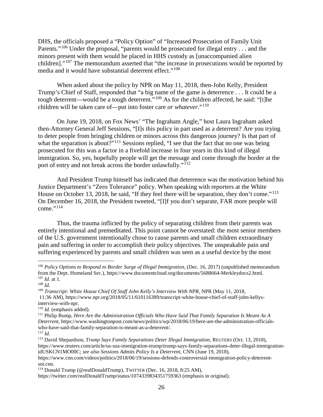DHS, the officials proposed a "Policy Option" of "Increased Prosecution of Family Unit Parents."<sup>[106](#page-25-0)</sup> Under the proposal, "parents would be prosecuted for illegal entry . . . and the minors present with them would be placed in HHS custody as [unaccompanied alien children]."<sup>[107](#page-25-1)</sup> The memorandum asserted that "the increase in prosecutions would be reported by media and it would have substantial deterrent effect."<sup>[108](#page-25-2)</sup>

When asked about the policy by NPR on May 11, 2018, then-John Kelly, President Trump's Chief of Staff, responded that "a big name of the game is deterrence . . . It could be a tough deterrent—would be a tough deterrent."[109](#page-25-3) As for the children affected, he said: "[t]he children will be taken care of—put into foster care *or whatever*."[110](#page-25-4)

On June 19, 2018, on Fox News' "The Ingraham Angle," host Laura Ingraham asked then-Attorney General Jeff Sessions, "[I]s this policy in part used as a deterrent? Are you trying to deter people from bringing children or minors across this dangerous journey? Is that part of what the separation is about?"<sup>[111](#page-25-5)</sup> Sessions replied, "I see that the fact that no one was being prosecuted for this was a factor in a fivefold increase in four years in this kind of illegal immigration. So, yes, hopefully people will get the message and come through the border at the port of entry and not break across the border unlawfully."<sup>[112](#page-25-6)</sup>

And President Trump himself has indicated that deterrence was the motivation behind his Justice Department's "Zero Tolerance" policy. When speaking with reporters at the White House on October 13, 2018, he said, "If they feel there will be separation, they don't come."<sup>[113](#page-25-7)</sup> On December 16, 2018, the President tweeted, "[I]f you don't separate, FAR more people will come." $^{114}$  $^{114}$  $^{114}$ 

Thus, the trauma inflicted by the policy of separating children from their parents was entirely intentional and premeditated. This point cannot be overstated: the most senior members of the U.S. government intentionally chose to cause parents and small children extraordinary pain and suffering in order to accomplish their policy objectives. The unspeakable pain and suffering experienced by parents and small children was seen as a useful device by the most

<span id="page-25-0"></span> <sup>106</sup> *Policy Options to Respond to Border Surge of Illegal Immigration*, (Dec. 16, 2017) (unpublished memorandum from the Dept. Homeland Sec.), https://www.documentcloud.org/documents/5688664-Merkleydocs2.html. <sup>107</sup> *Id.* at 1.

<span id="page-25-2"></span><span id="page-25-1"></span><sup>108</sup> *Id.*

<span id="page-25-3"></span><sup>109</sup> *Transcript: White House Chief Of Staff John Kelly's Interview With NPR*, NPR (May 11, 2018, 11:36 AM), https://www.npr.org/2018/05/11/610116389/transcript-white-house-chief-of-staff-john-kellysinterview-with-npr.

<span id="page-25-4"></span><sup>110</sup> *Id*. (emphasis added).

<span id="page-25-5"></span><sup>111</sup> Philip Bump, *Here Are the Administration Officials Who Have Said That Family Separation Is Meant As A Deterrent*, https://www.washingtonpost.com/news/politics/wp/2018/06/19/here-are-the-administration-officialswho-have-said-that-family-separation-is-meant-as-a-deterrent/.

<span id="page-25-6"></span><sup>112</sup> *Id.*

<span id="page-25-7"></span><sup>113</sup> David Shepardson, *Trump Says Family Separations Deter Illegal Immigration*, REUTERS (Oct. 13, 2018), https://www.reuters.com/article/us-usa-immigration-trump/trump-says-family-separations-deter-illegal-immigrationidUSKCN1MO00C; *see also Sessions Admits Policy Is a Deterrent*, CNN (June 19, 2018),

https://www.cnn.com/videos/politics/2018/06/19/sessions-defends-controversial-immigration-policy-deterrentsot.cnn.

<span id="page-25-8"></span><sup>114</sup> Donald Trump (@realDonaldTrump), TWITTER (Dec. 16, 2018, 8:25 AM),

https://twitter.com/realDonaldTrump/status/1074339834351759363 (emphasis in original).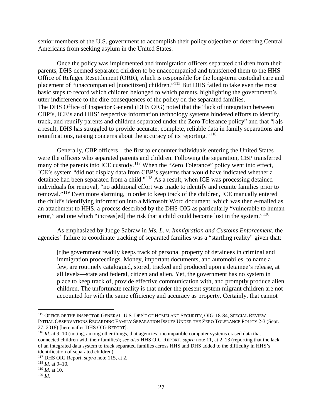senior members of the U.S. government to accomplish their policy objective of deterring Central Americans from seeking asylum in the United States.

Once the policy was implemented and immigration officers separated children from their parents, DHS deemed separated children to be unaccompanied and transferred them to the HHS Office of Refugee Resettlement (ORR), which is responsible for the long-term custodial care and placement of "unaccompanied [noncitizen] children."[115](#page-26-0) But DHS failed to take even the most basic steps to record which children belonged to which parents, highlighting the government's utter indifference to the dire consequences of the policy on the separated families. The DHS Office of Inspector General (DHS OIG) noted that the "lack of integration between CBP's, ICE's and HHS' respective information technology systems hindered efforts to identify, track, and reunify parents and children separated under the Zero Tolerance policy" and that "[a]s a result, DHS has struggled to provide accurate, complete, reliable data in family separations and reunifications, raising concerns about the accuracy of its reporting."[116](#page-26-1)

Generally, CBP officers—the first to encounter individuals entering the United States were the officers who separated parents and children. Following the separation, CBP transferred many of the parents into ICE custody.<sup>[117](#page-26-2)</sup> When the "Zero Tolerance" policy went into effect, ICE's system "did not display data from CBP's systems that would have indicated whether a detainee had been separated from a child."[118](#page-26-3) As a result, when ICE was processing detained individuals for removal, "no additional effort was made to identify and reunite families prior to removal."[119](#page-26-4) Even more alarming, in order to keep track of the children, ICE manually entered the child's identifying information into a Microsoft Word document, which was then e-mailed as an attachment to HHS, a process described by the DHS OIG as particularly "vulnerable to human error," and one which "increas[ed] the risk that a child could become lost in the system."<sup>[120](#page-26-5)</sup>

As emphasized by Judge Sabraw in *Ms. L. v. Immigration and Customs Enforcement*, the agencies' failure to coordinate tracking of separated families was a "startling reality" given that:

[t]he government readily keeps track of personal property of detainees in criminal and immigration proceedings. Money, important documents, and automobiles, to name a few, are routinely catalogued, stored, tracked and produced upon a detainee's release, at all levels—state and federal, citizen and alien. Yet, the government has no system in place to keep track of, provide effective communication with, and promptly produce alien children. The unfortunate reality is that under the present system migrant children are not accounted for with the same efficiency and accuracy as property. Certainly, that cannot

<span id="page-26-0"></span> <sup>115</sup> OFFICE OF THE INSPECTOR GENERAL, U.S. DEP'T OF HOMELAND SECURITY, OIG-18-84, SPECIAL REVIEW – INITIAL OBSERVATIONS REGARDING FAMILY SEPARATION ISSUES UNDER THE ZERO TOLERANCE POLICY 2-3 (Sept. 27, 2018) [hereinafter DHS OIG REPORT].

<span id="page-26-1"></span><sup>116</sup> *Id.* at 9–10 (noting, among other things, that agencies' incompatible computer systems erased data that connected children with their families); *see also* HHS OIG REPORT, *supra* note 11, at 2, 13 (reporting that the lack of an integrated data system to track separated families across HHS and DHS added to the difficulty in HHS's identification of separated children).

<span id="page-26-2"></span><sup>117</sup> DHS OIG Report, *supra* note 115, at 2. 118 *Id.* at 9–10.

<span id="page-26-3"></span>

<span id="page-26-4"></span><sup>119</sup> *Id.* at 10.

<span id="page-26-5"></span><sup>120</sup> *Id.*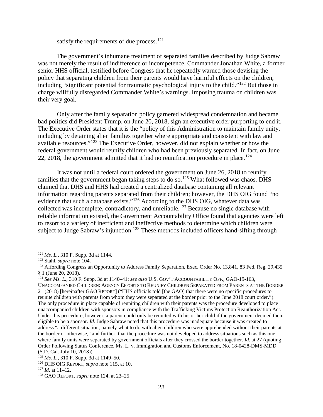satisfy the requirements of due process.<sup>[121](#page-27-0)</sup>

The government's inhumane treatment of separated families described by Judge Sabraw was not merely the result of indifference or incompetence. Commander Jonathan White, a former senior HHS official, testified before Congress that he repeatedly warned those devising the policy that separating children from their parents would have harmful effects on the children, including "significant potential for traumatic psychological injury to the child."[122](#page-27-1) But those in charge willfully disregarded Commander White's warnings. Imposing trauma on children was their very goal.

Only after the family separation policy garnered widespread condemnation and became bad politics did President Trump, on June 20, 2018, sign an executive order purporting to end it. The Executive Order states that it is the "policy of this Administration to maintain family unity, including by detaining alien families together where appropriate and consistent with law and available resources."[123](#page-27-2) The Executive Order, however, did not explain whether or how the federal government would reunify children who had been previously separated. In fact, on June 22, 2018, the government admitted that it had no reunification procedure in place.<sup>[124](#page-27-3)</sup>

It was not until a federal court ordered the government on June 26, 2018 to reunify families that the government began taking steps to do so.<sup>[125](#page-27-4)</sup> What followed was chaos. DHS claimed that DHS and HHS had created a centralized database containing all relevant information regarding parents separated from their children; however, the DHS OIG found "no evidence that such a database exists."<sup>[126](#page-27-5)</sup> According to the DHS OIG, whatever data was collected was incomplete, contradictory, and unreliable.<sup>[127](#page-27-6)</sup> Because no single database with reliable information existed, the Government Accountability Office found that agencies were left to resort to a variety of inefficient and ineffective methods to determine which children were subject to Judge Sabraw's injunction.<sup>[128](#page-27-7)</sup> These methods included officers hand-sifting through

<span id="page-27-0"></span> <sup>121</sup> *Ms. L.*, 310 F. Supp. 3d at 1144.

<span id="page-27-1"></span><sup>122</sup> Stahl, *supra* note 104.

<span id="page-27-2"></span><sup>&</sup>lt;sup>123</sup> Affording Congress an Opportunity to Address Family Separation, Exec. Order No. 13,841, 83 Fed. Reg. 29,435 § 1 (June 20, 2018).

<span id="page-27-3"></span><sup>124</sup> *See Ms. L.*, 310 F. Supp. 3d at 1140–41; *see also* U.S. GOV'T ACCOUNTABILITY OFF., GAO-19-163,

UNACCOMPANIED CHILDREN: AGENCY EFFORTS TO REUNIFY CHILDREN SEPARATED FROM PARENTS AT THE BORDER 21 (2018) [hereinafter GAO REPORT] ("HHS officials told [the GAO] that there were no specific procedures to reunite children with parents from whom they were separated at the border prior to the June 2018 court order."). The only procedure in place capable of reuniting children with their parents was the procedure developed to place unaccompanied children with sponsors in compliance with the Trafficking Victims Protection Reauthorization Act. Under this procedure, however, a parent could only be reunited with his or her child if the government deemed them eligible to be a sponsor. *Id.* Judge Sabraw noted that this procedure was inadequate because it was created to address "a different situation, namely what to do with alien children who were apprehended without their parents at the border or otherwise," and further, that the procedure was not developed to address situations such as this one where family units were separated by government officials after they crossed the border together. *Id*. at 27 (quoting Order Following Status Conference, Ms. L. v. Immigration and Customs Enforcement, No. 18-0428-DMS-MDD (S.D. Cal. July 10, 2018)).

<span id="page-27-4"></span><sup>125</sup> *Ms. L.*, 310 F. Supp. 3d at 1149–50.

<span id="page-27-5"></span><sup>126</sup> DHS OIG REPORT, *supra* note 115, at 10.

<span id="page-27-6"></span><sup>127</sup> *Id*. at 11–12.

<span id="page-27-7"></span><sup>128</sup> GAO REPORT, *supra* note 124, at 23–25.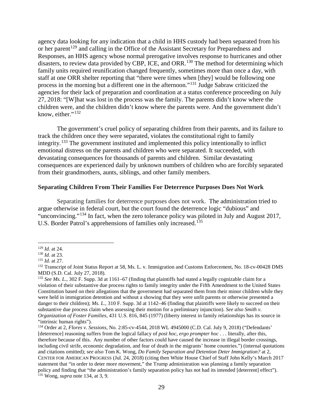agency data looking for any indication that a child in HHS custody had been separated from his or her parent<sup>[129](#page-28-0)</sup> and calling in the Office of the Assistant Secretary for Preparedness and Responses, an HHS agency whose normal prerogative involves response to hurricanes and other disasters, to review data provided by CBP, ICE, and ORR.<sup>[130](#page-28-1)</sup> The method for determining which family units required reunification changed frequently, sometimes more than once a day, with staff at one ORR shelter reporting that "there were times when [they] would be following one process in the morning but a different one in the afternoon."[131](#page-28-2) Judge Sabraw criticized the agencies for their lack of preparation and coordination at a status conference proceeding on July 27, 2018: "[W]hat was lost in the process was the family. The parents didn't know where the children were, and the children didn't know where the parents were. And the government didn't know, either." $132$ 

The government's cruel policy of separating children from their parents, and its failure to track the children once they were separated, violates the constitutional right to family integrity.[133](#page-28-4) The government instituted and implemented this policy intentionally to inflict emotional distress on the parents and children who were separated. It succeeded, with devastating consequences for thousands of parents and children. Similar devastating consequences are experienced daily by unknown numbers of children who are forcibly separated from their grandmothers, aunts, siblings, and other family members.

### **Separating Children From Their Families For Deterrence Purposes Does Not Work**

Separating families for deterrence purposes does not work. The administration tried to argue otherwise in federal court, but the court found the deterrence logic "dubious" and "unconvincing."[134](#page-28-5) In fact, when the zero tolerance policy was piloted in July and August 2017, U.S. Border Patrol's apprehensions of families only increased.<sup>[135](#page-28-6)</sup>

<span id="page-28-0"></span> <sup>129</sup> *Id.* at 24.

<span id="page-28-1"></span><sup>130</sup> *Id.* at 23.

<span id="page-28-2"></span><sup>131</sup> *Id.* at 27.

<span id="page-28-3"></span><sup>&</sup>lt;sup>132</sup> Transcript of Joint Status Report at 58, Ms. L. v. Immigration and Customs Enforcement, No. 18-cv-00428 DMS MDD (S.D. Cal. July 27, 2018).

<span id="page-28-4"></span><sup>&</sup>lt;sup>133</sup> *See Ms. L.*, 302 F. Supp. 3d at 1161–67 (finding that plaintiffs had stated a legally cognizable claim for a violation of their substantive due process rights to family integrity under the Fifth Amendment to the United States Constitution based on their allegations that the government had separated them from their minor children while they were held in immigration detention and without a showing that they were unfit parents or otherwise presented a danger to their children); *Ms. L.*, 310 F. Supp. 3d at 1142–46 (finding that plaintiffs were likely to succeed on their substantive due process claim when assessing their motion for a preliminary injunction). *See also Smith v. Organization of Foster Families*, 431 U.S. 816, 845 (1977) (liberty interest in family relationships has its source in "intrinsic human rights").

<span id="page-28-6"></span><span id="page-28-5"></span><sup>134</sup> Order at 2, *Flores v. Sessions*, No. 2:85-cv-4544, 2018 WL 4945000 (C.D. Cal. July 9, 2018) ("Defendants' [deterrence] reasoning suffers from the logical fallacy of *post hoc*, *ergo prompter hoc* . . . literally, after this, therefore because of this. Any number of other factors could have caused the increase in illegal border crossings, including civil strife, economic degradation, and fear of death in the migrants' home countries.") (internal quotations and citations omitted); *see also* Tom K. Wong, *Do Family Separation and Detention Deter Immigration?* at 2, CENTER FOR AMERICAN PROGRESS (Jul. 24, 2018) (citing then White House Chief of Staff John Kelly's March 2017 statement that "in order to deter more movement," the Trump administration was planning a family separation policy and finding that "the administration's family separation policy has not had its intended [deterrent] effect"). <sup>135</sup> Wong, *supra* note 134, at 3, 9.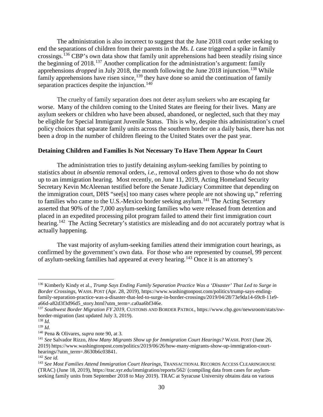The administration is also incorrect to suggest that the June 2018 court order seeking to end the separations of children from their parents in the *Ms. L* case triggered a spike in family crossings.[136](#page-29-0) CBP's own data show that family unit apprehensions had been steadily rising since the beginning of 2018.[137](#page-29-1) Another complication for the administration's argument: family apprehensions *dropped* in July 2018, the month following the June 2018 injunction.<sup>[138](#page-29-2)</sup> While family apprehensions have risen since, $139$  they have done so amid the continuation of family separation practices despite the injunction.<sup>[140](#page-29-4)</sup>

The cruelty of family separation does not deter asylum seekers who are escaping far worse. Many of the children coming to the United States are fleeing for their lives. Many are asylum seekers or children who have been abused, abandoned, or neglected, such that they may be eligible for Special Immigrant Juvenile Status. This is why, despite this administration's cruel policy choices that separate family units across the southern border on a daily basis, there has not been a drop in the number of children fleeing to the United States over the past year.

### **Detaining Children and Families Is Not Necessary To Have Them Appear In Court**

The administration tries to justify detaining asylum-seeking families by pointing to statistics about *in absentia* removal orders, *i.e.*, removal orders given to those who do not show up to an immigration hearing. Most recently, on June 11, 2019, Acting Homeland Security Secretary Kevin McAleenan testified before the Senate Judiciary Committee that depending on the immigration court, DHS "see[s] too many cases where people are not showing up," referring to families who came to the U.S.-Mexico border seeking asylum.<sup>[141](#page-29-5)</sup> The Acting Secretary asserted that 90% of the 7,000 asylum-seeking families who were released from detention and placed in an expedited processing pilot program failed to attend their first immigration court hearing.<sup>142</sup> The Acting Secretary's statistics are misleading and do not accurately portray what is actually happening.

The vast majority of asylum-seeking families attend their immigration court hearings, as confirmed by the government's own data. For those who are represented by counsel, 99 percent of asylum-seeking families had appeared at every hearing.[143](#page-29-7) Once it is an attorney's

<span id="page-29-0"></span> <sup>136</sup> Kimberly Kindy et al., *Trump Says Ending Family Separation Practice Was a 'Disaster' That Led to Surge in Border Crossings*, WASH. POST (Apr. 28, 2019), https://www.washingtonpost.com/politics/trump-says-endingfamily-separation-practice-was-a-disaster-that-led-to-surge-in-border-crossings/2019/04/28/73e9da14-69c8-11e9-<br>a66d-a82d3f3d96d5\_story.html?utm\_term=.ca0aa6bf346e.

<span id="page-29-1"></span><sup>&</sup>lt;sup>137</sup> Southwest Border Migration FY 2019, CUSTOMS AND BORDER PATROL, https://www.cbp.gov/newsroom/stats/swborder-migration (last updated July 3, 2019).

<span id="page-29-2"></span><sup>138</sup> *Id.*

<span id="page-29-3"></span><sup>139</sup> *Id.*

<span id="page-29-4"></span><sup>140</sup> Pena & Olivares, *supra* note 90, at 3.

<span id="page-29-5"></span><sup>141</sup> *See* Salvador Rizzo, *How Many Migrants Show up for Immigration Court Hearings?* WASH. POST (June 26, 2019) https://www.washingtonpost.com/politics/2019/06/26/how-many-migrants-show-up-immigration-courthearings/?utm\_term=.8630b6c03841.

<span id="page-29-6"></span><sup>142</sup> *See id.*

<span id="page-29-7"></span><sup>143</sup> *See Most Families Attend Immigration Court Hearings*, TRANSACTIONAL RECORDS ACCESS CLEARINGHOUSE (TRAC) (June 18, 2019), https://trac.syr.edu/immigration/reports/562/ (compiling data from cases for asylumseeking family units from September 2018 to May 2019). TRAC at Syracuse University obtains data on various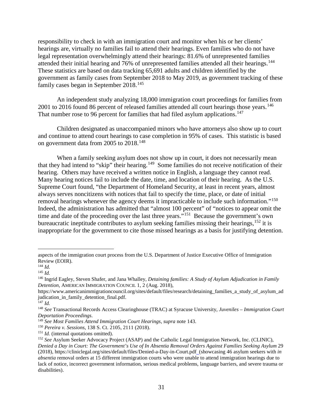responsibility to check in with an immigration court and monitor when his or her clients' hearings are, virtually no families fail to attend their hearings. Even families who do not have legal representation overwhelmingly attend their hearings: 81.6% of unrepresented families attended their initial hearing and 76% of unrepresented families attended all their hearings.<sup>144</sup> These statistics are based on data tracking 65,691 adults and children identified by the government as family cases from September 2018 to May 2019, as government tracking of these family cases began in September 2018.<sup>145</sup>

An independent study analyzing 18,000 immigration court proceedings for families from 2001 to 2016 found 86 percent of released families attended all court hearings those years.<sup>146</sup> That number rose to 96 percent for families that had filed asylum applications.<sup>[147](#page-30-3)</sup>

Children designated as unaccompanied minors who have attorneys also show up to court and continue to attend court hearings to case completion in 95% of cases. This statistic is based on government data from 2005 to 2018.<sup>[148](#page-30-4)</sup>

When a family seeking asylum does not show up in court, it does not necessarily mean that they had intend to "skip" their hearing.<sup>149</sup> Some families do not receive notification of their hearing. Others may have received a written notice in English, a language they cannot read. Many hearing notices fail to include the date, time, and location of their hearing. As the U.S. Supreme Court found, "the Department of Homeland Security, at least in recent years, almost always serves noncitizens with notices that fail to specify the time, place, or date of initial removal hearings whenever the agency deems it impracticable to include such information."[150](#page-30-6) Indeed, the administration has admitted that "almost 100 percent" of "notices to appear omit the time and date of the proceeding over the last three years."<sup>151</sup> Because the government's own bureaucratic ineptitude contributes to asylum seeking families missing their hearings,  $152$  it is inappropriate for the government to cite those missed hearings as a basis for justifying detention.

 $\overline{a}$ 

aspects of the immigration court process from the U.S. Department of Justice Executive Office of Immigration Review (EOIR).

<span id="page-30-0"></span><sup>144</sup> *Id.*

<span id="page-30-1"></span><sup>145</sup> *Id.*

<span id="page-30-2"></span><sup>146</sup> Ingrid Eagley, Steven Shafer, and Jana Whalley, *Detaining families: A Study of Asylum Adjudication in Family Detention*, AMERICAN IMMIGRATION COUNCIL 1, 2 (Aug. 2018),

https://www.americanimmigrationcouncil.org/sites/default/files/research/detaining families a study of asylum ad judication in family detention final.pdf.

<span id="page-30-3"></span> $147$  *Id.* 

<span id="page-30-4"></span><sup>148</sup> *See* Transactional Records Access Clearinghouse (TRAC) at Syracuse University, *Juveniles – Immigration Court* 

<span id="page-30-5"></span><sup>&</sup>lt;sup>149</sup> See Most Families Attend Immigration Court Hearings, *supra* note 143.

<span id="page-30-6"></span><sup>150</sup> *Pereira v. Sessions*, 138 S. Ct. 2105, 2111 (2018).

<span id="page-30-7"></span><sup>&</sup>lt;sup>151</sup> *Id.* (internal quotations omitted).

<span id="page-30-8"></span><sup>152</sup> *See* Asylum Seeker Advocacy Project (ASAP) and the Catholic Legal Immigration Network, Inc. (CLINIC), *Denied a Day in Court: The Government's Use of In Absentia Removal Orders Against Families Seeking Asylum* 29 (2018), https://cliniclegal.org/sites/default/files/Denied-a-Day-in-Court.pdf (showcasing 46 asylum seekers with *in absentia* removal orders at 15 different immigration courts who were unable to attend immigration hearings due to lack of notice, incorrect government information, serious medical problems, language barriers, and severe trauma or disabilities).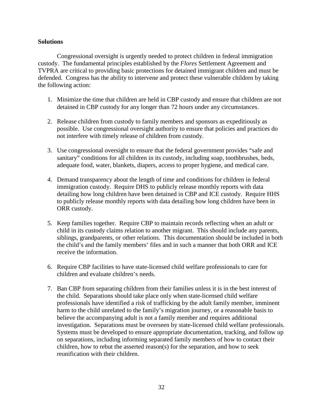### **Solutions**

Congressional oversight is urgently needed to protect children in federal immigration custody. The fundamental principles established by the *Flores* Settlement Agreement and TVPRA are critical to providing basic protections for detained immigrant children and must be defended. Congress has the ability to intervene and protect these vulnerable children by taking the following action:

- 1. Minimize the time that children are held in CBP custody and ensure that children are not detained in CBP custody for any longer than 72 hours under any circumstances.
- 2. Release children from custody to family members and sponsors as expeditiously as possible. Use congressional oversight authority to ensure that policies and practices do not interfere with timely release of children from custody.
- 3. Use congressional oversight to ensure that the federal government provides "safe and sanitary" conditions for all children in its custody, including soap, toothbrushes, beds, adequate food, water, blankets, diapers, access to proper hygiene, and medical care.
- 4. Demand transparency about the length of time and conditions for children in federal immigration custody. Require DHS to publicly release monthly reports with data detailing how long children have been detained in CBP and ICE custody. Require HHS to publicly release monthly reports with data detailing how long children have been in ORR custody.
- 5. Keep families together. Require CBP to maintain records reflecting when an adult or child in its custody claims relation to another migrant. This should include any parents, siblings, grandparents, or other relations. This documentation should be included in both the child's and the family members' files and in such a manner that both ORR and ICE receive the information.
- 6. Require CBP facilities to have state-licensed child welfare professionals to care for children and evaluate children's needs.
- 7. Ban CBP from separating children from their families unless it is in the best interest of the child. Separations should take place only when state-licensed child welfare professionals have identified a risk of trafficking by the adult family member, imminent harm to the child unrelated to the family's migration journey, or a reasonable basis to believe the accompanying adult is not a family member and requires additional investigation. Separations must be overseen by state-licensed child welfare professionals. Systems must be developed to ensure appropriate documentation, tracking, and follow up on separations, including informing separated family members of how to contact their children, how to rebut the asserted reason(s) for the separation, and how to seek reunification with their children.